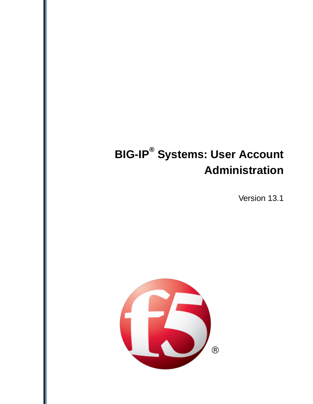# **BIG-IP® Systems: User Account Administration**

Version 13.1

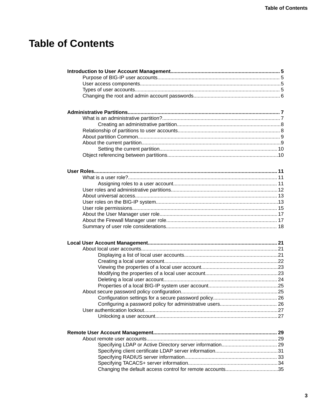## **Table of Contents**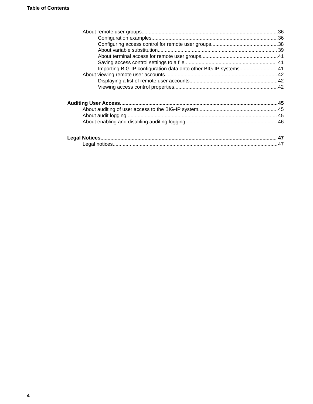| Importing BIG-IP configuration data onto other BIG-IP systems41 |  |
|-----------------------------------------------------------------|--|
|                                                                 |  |
|                                                                 |  |
|                                                                 |  |
|                                                                 |  |
|                                                                 |  |
|                                                                 |  |
|                                                                 |  |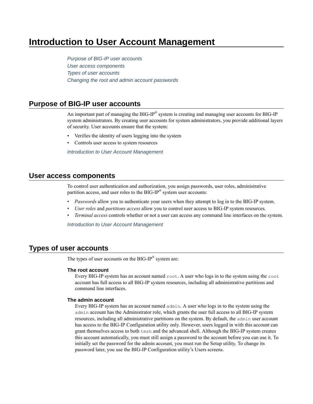## <span id="page-4-0"></span>**Introduction to User Account Management**

Purpose of BIG-IP user accounts User access components Types of user accounts [Changing the root and admin account passwords](#page-5-0)

### **Purpose of BIG-IP user accounts**

An important part of managing the BIG-IP<sup>®</sup> system is creating and managing user accounts for BIG-IP system administrators. By creating user accounts for system administrators, you provide additional layers of security. User accounts ensure that the system:

- Verifies the identity of users logging into the system
- Controls user access to system resources

Introduction to User Account Management

### **User access components**

To control user authentication and authorization, you assign passwords, user roles, administrative partition access, and user roles to the BIG-IP<sup>®</sup> system user accounts:

- *Passwords* allow you to authenticate your users when they attempt to log in to the BIG-IP system.
- *User roles* and *partitions access* allow you to control user access to BIG-IP system resources.
- *Terminal access* controls whether or not a user can access any command line interfaces on the system.

Introduction to User Account Management

### **Types of user accounts**

The types of user accounts on the BIG-IP<sup>®</sup> system are:

#### **The root account**

Every BIG-IP system has an account named root. A user who logs in to the system using the root account has full access to all BIG-IP system resources, including all administrative partitions and command line interfaces.

#### **The admin account**

Every BIG-IP system has an account named admin. A user who logs in to the system using the admin account has the Administrator role, which grants the user full access to all BIG-IP system resources, including all administrative partitions on the system. By default, the admin user account has access to the BIG-IP Configuration utility only. However, users logged in with this account can grant themselves access to both tmsh and the advanced shell. Although the BIG-IP system creates this account automatically, you must still assign a password to the account before you can use it. To initially set the password for the admin account, you must run the Setup utility. To change its password later, you use the BIG-IP Configuration utility's Users screens.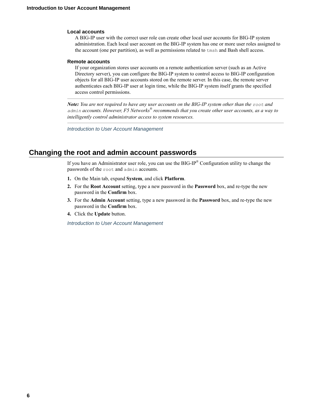#### <span id="page-5-0"></span>**Local accounts**

A BIG-IP user with the correct user role can create other local user accounts for BIG-IP system administration. Each local user account on the BIG-IP system has one or more user roles assigned to the account (one per partition), as well as permissions related to tmsh and Bash shell access.

### **Remote accounts**

If your organization stores user accounts on a remote authentication server (such as an Active Directory server), you can configure the BIG-IP system to control access to BIG-IP configuration objects for all BIG-IP user accounts stored on the remote server. In this case, the remote server authenticates each BIG-IP user at login time, while the BIG-IP system itself grants the specified access control permissions.

*Note: You are not required to have any user accounts on the BIG-IP system other than the root and admin accounts. However, F5 Networks® recommends that you create other user accounts, as a way to intelligently control administrator access to system resources.*

[Introduction to User Account Management](#page-4-0)

### **Changing the root and admin account passwords**

If you have an Administrator user role, you can use the BIG-IP<sup>®</sup> Configuration utility to change the passwords of the root and admin accounts.

- **1.** On the Main tab, expand **System**, and click **Platform**.
- **2.** For the **Root Account** setting, type a new password in the **Password** box, and re-type the new password in the **Confirm** box.
- **3.** For the **Admin Account** setting, type a new password in the **Password** box, and re-type the new password in the **Confirm** box.
- **4.** Click the **Update** button.

[Introduction to User Account Management](#page-4-0)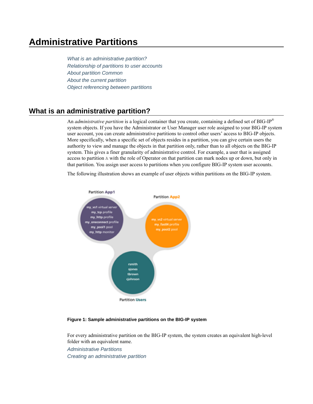## <span id="page-6-0"></span>**Administrative Partitions**

What is an administrative partition? [Relationship of partitions to user accounts](#page-7-0) [About partition Common](#page-8-0) [About the current partition](#page-8-0) [Object referencing between partitions](#page-9-0)

### **What is an administrative partition?**

An *administrative partition* is a logical container that you create, containing a defined set of BIG-IP® system objects. If you have the Administrator or User Manager user role assigned to your BIG-IP system user account, you can create administrative partitions to control other users' access to BIG-IP objects. More specifically, when a specific set of objects resides in a partition, you can give certain users the authority to view and manage the objects in that partition only, rather than to all objects on the BIG-IP system. This gives a finer granularity of administrative control. For example, a user that is assigned access to partition A with the role of Operator on that partition can mark nodes up or down, but only in that partition. You assign user access to partitions when you configure BIG-IP system user accounts.

The following illustration shows an example of user objects within partitions on the BIG-IP system.



#### **Figure 1: Sample administrative partitions on the BIG-IP system**

For every administrative partition on the BIG-IP system, the system creates an equivalent high-level folder with an equivalent name.

Administrative Partitions [Creating an administrative partition](#page-7-0)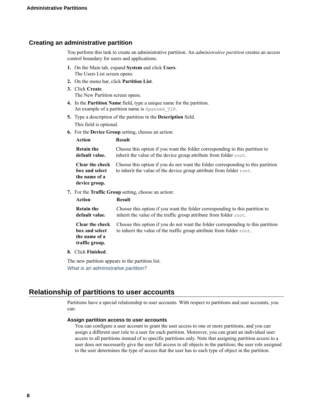### <span id="page-7-0"></span>**Creating an administrative partition**

You perform this task to create an administrative partition. An *administrative partition* creates an access control boundary for users and applications.

- **1.** On the Main tab, expand **System** and click **Users**. The Users List screen opens.
- **2.** On the menu bar, click **Partition List**.
- **3.** Click **Create**. The New Partition screen opens.
- **4.** In the **Partition Name** field, type a unique name for the partition. An example of a partition name is Spanned VIP.
- **5.** Type a description of the partition in the **Description** field. This field is optional.
- **6.** For the **Device Group** setting, choose an action:

| Action                                                              | <b>Result</b>                                                                                                                                             |
|---------------------------------------------------------------------|-----------------------------------------------------------------------------------------------------------------------------------------------------------|
| <b>Retain the</b><br>default value.                                 | Choose this option if you want the folder corresponding to this partition to<br>inherit the value of the device group attribute from folder root.         |
| Clear the check<br>box and select<br>the name of a<br>device group. | Choose this option if you do not want the folder corresponding to this partition<br>to inherit the value of the device group attribute from folder root.  |
|                                                                     | 7. For the <b>Traffic Group</b> setting, choose an action:                                                                                                |
| Action                                                              | <b>Result</b>                                                                                                                                             |
| <b>Retain the</b><br>default value.                                 | Choose this option if you want the folder corresponding to this partition to<br>inherit the value of the traffic group attribute from folder root.        |
| Clear the check<br>box and select<br>the name of a                  | Choose this option if you do not want the folder corresponding to this partition<br>to inherit the value of the traffic group attribute from folder root. |

**8.** Click **Finished**.

**traffic group.**

The new partition appears in the partition list. [What is an administrative partition?](#page-6-0)

### **Relationship of partitions to user accounts**

Partitions have a special relationship to user accounts. With respect to partitions and user accounts, you can:

#### **Assign partition access to user accounts**

You can configure a user account to grant the user access to one or more partitions, and you can assign a different user role to a user for each partition. Moreover, you can grant an individual user access to all partitions instead of to specific partitions only. Note that assigning partition access to a user does not necessarily give the user full access to all objects in the partition; the user role assigned to the user determines the type of access that the user has to each type of object in the partition.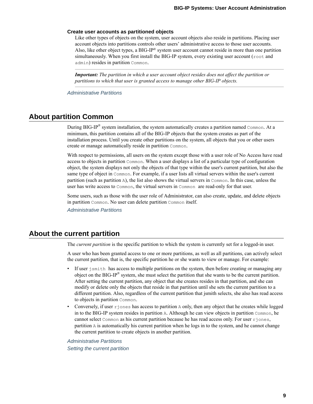#### <span id="page-8-0"></span>**Create user accounts as partitioned objects**

Like other types of objects on the system, user account objects also reside in partitions. Placing user account objects into partitions controls other users' administrative access to those user accounts. Also, like other object types, a BIG-IP<sup>®</sup> system user account cannot reside in more than one partition simultaneously. When you first install the BIG-IP system, every existing user account ( $\text{root}$  and admin) resides in partition Common.

*Important: The partition in which a user account object resides does not affect the partition or partitions to which that user is granted access to manage other BIG-IP objects.*

[Administrative Partitions](#page-6-0)

### **About partition Common**

During BIG-IP<sup>®</sup> system installation, the system automatically creates a partition named Common. At a minimum, this partition contains all of the BIG-IP objects that the system creates as part of the installation process. Until you create other partitions on the system, all objects that you or other users create or manage automatically reside in partition Common.

With respect to permissions, all users on the system except those with a user role of No Access have read access to objects in partition Common. When a user displays a list of a particular type of configuration object, the system displays not only the objects of that type within the user's current partition, but also the same type of object in Common. For example, if a user lists all virtual servers within the user's current partition (such as partition A), the list also shows the virtual servers in Common. In this case, unless the user has write access to Common, the virtual servers in Common are read-only for that user.

Some users, such as those with the user role of Administrator, can also create, update, and delete objects in partition Common. No user can delete partition Common itself.

[Administrative Partitions](#page-6-0)

### **About the current partition**

The *current partition* is the specific partition to which the system is currently set for a logged-in user.

A user who has been granted access to one or more partitions, as well as all partitions, can actively select the current partition, that is, the specific partition he or she wants to view or manage. For example:

- If user jsmith has access to multiple partitions on the system, then before creating or managing any object on the BIG-IP<sup>®</sup> system, she must select the partition that she wants to be the current partition. After setting the current partition, any object that she creates resides in that partition, and she can modify or delete only the objects that reside in that partition until she sets the current partition to a different partition. Also, regardless of the current partition that jsmith selects, she also has read access to objects in partition Common.
- Conversely, if user  $r_1$  ones has access to partition A only, then any object that he creates while logged in to the BIG-IP system resides in partition A. Although he can view objects in partition Common, he cannot select Common as his current partition because he has read access only. For user rjones, partition  $\overline{A}$  is automatically his current partition when he logs in to the system, and he cannot change the current partition to create objects in another partition.

[Administrative Partitions](#page-6-0) [Setting the current partition](#page-9-0)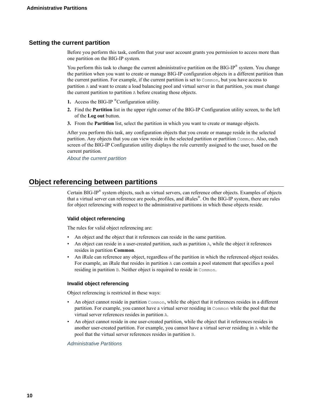### <span id="page-9-0"></span>**Setting the current partition**

Before you perform this task, confirm that your user account grants you permission to access more than one partition on the BIG-IP system.

You perform this task to change the current administrative partition on the BIG-IP<sup>®</sup> system. You change the partition when you want to create or manage BIG-IP configuration objects in a different partition than the current partition. For example, if the current partition is set to Common, but you have access to partition A and want to create a load balancing pool and virtual server in that partition, you must change the current partition to partition A before creating those objects.

- **1.** Access the BIG-IP ®Configuration utility.
- **2.** Find the **Partition** list in the upper right corner of the BIG-IP Configuration utility screen, to the left of the **Log out** button.
- **3.** From the **Partition** list, select the partition in which you want to create or manage objects.

After you perform this task, any configuration objects that you create or manage reside in the selected partition. Any objects that you can view reside in the selected partition or partition Common. Also, each screen of the BIG-IP Configuration utility displays the role currently assigned to the user, based on the current partition.

[About the current partition](#page-8-0)

### **Object referencing between partitions**

Certain BIG-IP<sup>®</sup> system objects, such as virtual servers, can reference other objects. Examples of objects that a virtual server can reference are pools, profiles, and iRules® . On the BIG-IP system, there are rules for object referencing with respect to the administrative partitions in which those objects reside.

### **Valid object referencing**

The rules for valid object referencing are:

- An object and the object that it references can reside in the same partition.
- An object can reside in a user-created partition, such as partition A, while the object it references resides in partition **Common**.
- An iRule can reference any object, regardless of the partition in which the referenced object resides. For example, an iRule that resides in partition A can contain a pool statement that specifies a pool residing in partition B. Neither object is required to reside in Common.

### **Invalid object referencing**

Object referencing is restricted in these ways:

- An object cannot reside in partition Common, while the object that it references resides in a different partition. For example, you cannot have a virtual server residing in Common while the pool that the virtual server references resides in partition A.
- An object cannot reside in one user-created partition, while the object that it references resides in another user-created partition. For example, you cannot have a virtual server residing in A while the pool that the virtual server references resides in partition B.

#### [Administrative Partitions](#page-6-0)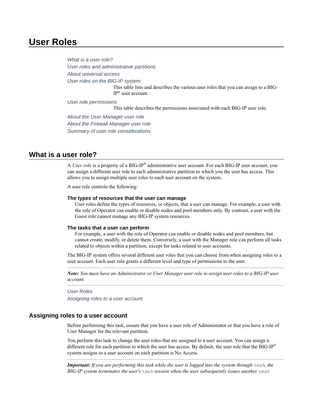## <span id="page-10-0"></span>**User Roles**

What is a user role? [User roles and administrative partitions](#page-11-0) [About universal access](#page-12-0) [User roles on the BIG-IP system](#page-12-0) This table lists and describes the various user roles that you can assign to a BIG-IP® user account. [User role permissions](#page-14-0) This table describes the permissions associated with each BIG-IP user role.

[About the User Manager user role](#page-16-0) [About the Firewall Manager user role](#page-16-0) [Summary of user role considerations](#page-17-0)

### **What is a user role?**

A *User role* is a property of a BIG-IP® administrative user account. For each BIG-IP user account, you can assign a different user role to each administrative partition to which you the user has access. This allows you to assign multiple user roles to each user account on the system.

A user role controls the following:

#### **The types of resources that the user can manage**

User roles define the types of resources, or objects, that a user can manage. For example, a user with the role of Operator can enable or disable nodes and pool members only. By contrast, a user with the Guest role cannot manage any BIG-IP system resources.

#### **The tasks that a user can perform**

For example, a user with the role of Operator can enable or disable nodes and pool members, but cannot create, modify, or delete them. Conversely, a user with the Manager role can perform all tasks related to objects within a partition, except for tasks related to user accounts.

The BIG-IP system offers several different user roles that you can choose from when assigning roles to a user account. Each user role grants a different level and type of permissions to the user.

*Note: You must have an Administrator or User Manager user role to assign user roles to a BIG-IP user account.*

User Roles Assigning roles to a user account

### **Assigning roles to a user account**

Before performing this task, ensure that you have a user role of Administrator or that you have a role of User Manager for the relevant partition.

You perform this task to change the user roles that are assigned to a user account. You can assign a different role for each partition to which the user has access. By default, the user role that the BIG-IP<sup>®</sup> system assigns to a user account on each partition is No Access.

*Important: If you are performing this task while the user is logged into the system through*  $t$ *msh, the BIG-IP system terminates the user's tmsh session when the user subsequently issues another tmsh*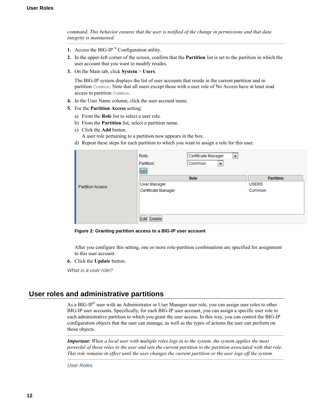<span id="page-11-0"></span>*command. This behavior ensures that the user is notified of the change in permissions and that data integrity is maintained.*

- 1. Access the BIG-IP<sup>®</sup> Configuration utility.
- **2.** In the upper-left corner of the screen, confirm that the **Partition** list is set to the partition in which the user account that you want to modify resides.
- **3.** On the Main tab, click **System** > **Users**.

The BIG-IP system displays the list of user accounts that reside in the current partition and in partition Common. Note that all users except those with a user role of No Access have at least read access to partition Common.

- **4.** In the User Name column, click the user account name.
- **5.** For the **Partition Access** setting:
	- a) From the **Role** list to select a user role.
	- b) From the **Partition** list, select a partition name.
	- c) Click the **Add** button.
		- A user role pertaining to a partition now appears in the box.
	- d) Repeat these steps for each partition to which you want to assign a role for this user.

|                         | Certificate Manager<br>Role:<br>Partition:<br>Common<br>×<br>Add | ▼ |                  |
|-------------------------|------------------------------------------------------------------|---|------------------|
|                         | Role                                                             |   | <b>Partition</b> |
| <b>Partition Access</b> | <b>User Manager</b>                                              |   | <b>USERS</b>     |
|                         | Certificate Manager                                              |   | Common           |
|                         | Edit Delete                                                      |   |                  |

**Figure 2: Granting partition access to a BIG-IP user account**

After you configure this setting, one or more role-partition combinations are specified for assignment to this user account.

**6.** Click the **Update** button.

[What is a user role?](#page-10-0)

### **User roles and administrative partitions**

As a BIG-IP<sup>®</sup> user with an Administrator or User Manager user role, you can assign user roles to other BIG-IP user accounts. Specifically, for each BIG-IP user account, you can assign a specific user role to each administrative partition to which you grant the user access. In this way, you can control the BIG-IP configuration objects that the user can manage, as well as the types of actions the user can perform on those objects.

*Important: When a local user with multiple roles logs in to the system, the system applies the most powerful of those roles to the user and sets the current partition to the partition associated with that role. This role remains in effect until the user changes the current partition or the user logs off the system.*

[User Roles](#page-10-0)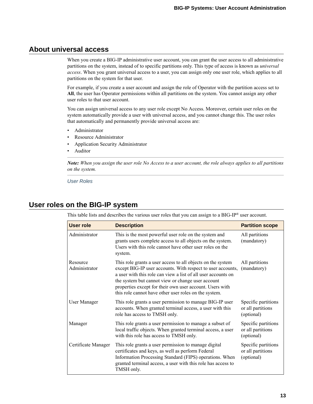### <span id="page-12-0"></span>**About universal access**

When you create a BIG-IP administrative user account, you can grant the user access to all administrative partitions on the system, instead of to specific partitions only. This type of access is known as *universal access*. When you grant universal access to a user, you can assign only one user role, which applies to all partitions on the system for that user.

For example, if you create a user account and assign the role of Operator with the partition access set to **All**, the user has Operator permissions within all partitions on the system. You cannot assign any other user roles to that user account.

You can assign universal access to any user role except No Access. Moreover, certain user roles on the system automatically provide a user with universal access, and you cannot change this. The user roles that automatically and permanently provide universal access are:

- Administrator
- Resource Administrator
- Application Security Administrator
- **Auditor**

*Note: When you assign the user role No Access to a user account, the role always applies to all partitions on the system.*

[User Roles](#page-10-0)

### **User roles on the BIG-IP system**

This table lists and describes the various user roles that you can assign to a BIG-IP® user account.

| <b>User role</b>          | <b>Description</b>                                                                                                                                                                                                                                                                                                                                                    | <b>Partition scope</b>                                 |
|---------------------------|-----------------------------------------------------------------------------------------------------------------------------------------------------------------------------------------------------------------------------------------------------------------------------------------------------------------------------------------------------------------------|--------------------------------------------------------|
| Administrator             | This is the most powerful user role on the system and<br>grants users complete access to all objects on the system.<br>Users with this role cannot have other user roles on the<br>system.                                                                                                                                                                            | All partitions<br>(mandatory)                          |
| Resource<br>Administrator | This role grants a user access to all objects on the system<br>except BIG-IP user accounts. With respect to user accounts,<br>a user with this role can view a list of all user accounts on<br>the system but cannot view or change user account<br>properties except for their own user account. Users with<br>this role cannot have other user roles on the system. | All partitions<br>(mandatory)                          |
| User Manager              | This role grants a user permission to manage BIG-IP user<br>accounts. When granted terminal access, a user with this<br>role has access to TMSH only.                                                                                                                                                                                                                 | Specific partitions<br>or all partitions<br>(optional) |
| Manager                   | This role grants a user permission to manage a subset of<br>local traffic objects. When granted terminal access, a user<br>with this role has access to TMSH only.                                                                                                                                                                                                    | Specific partitions<br>or all partitions<br>(optional) |
| Certificate Manager       | This role grants a user permission to manage digital<br>certificates and keys, as well as perform Federal<br>Information Processing Standard (FIPS) operations. When<br>granted terminal access, a user with this role has access to<br>TMSH only.                                                                                                                    | Specific partitions<br>or all partitions<br>(optional) |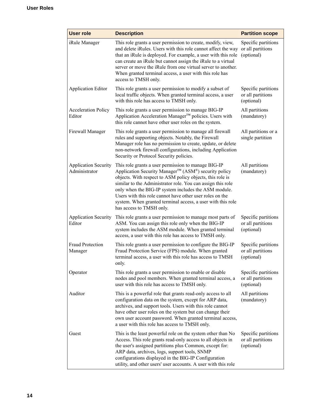| <b>User role</b>                             | <b>Description</b>                                                                                                                                                                                                                                                                                                                                                                                                                                     | <b>Partition scope</b>                                 |
|----------------------------------------------|--------------------------------------------------------------------------------------------------------------------------------------------------------------------------------------------------------------------------------------------------------------------------------------------------------------------------------------------------------------------------------------------------------------------------------------------------------|--------------------------------------------------------|
| iRule Manager                                | This role grants a user permission to create, modify, view,<br>and delete iRules. Users with this role cannot affect the way<br>that an iRule is deployed. For example, a user with this role<br>can create an iRule but cannot assign the iRule to a virtual<br>server or move the iRule from one virtual server to another.<br>When granted terminal access, a user with this role has<br>access to TMSH only.                                       | Specific partitions<br>or all partitions<br>(optional) |
| <b>Application Editor</b>                    | This role grants a user permission to modify a subset of<br>local traffic objects. When granted terminal access, a user<br>with this role has access to TMSH only.                                                                                                                                                                                                                                                                                     | Specific partitions<br>or all partitions<br>(optional) |
| <b>Acceleration Policy</b><br>Editor         | This role grants a user permission to manage BIG-IP<br>Application Acceleration Manager™ policies. Users with<br>this role cannot have other user roles on the system.                                                                                                                                                                                                                                                                                 | All partitions<br>(mandatory)                          |
| Firewall Manager                             | This role grants a user permission to manage all firewall<br>rules and supporting objects. Notably, the Firewall<br>Manager role has no permission to create, update, or delete<br>non-network firewall configurations, including Application<br>Security or Protocol Security policies.                                                                                                                                                               | All partitions or a<br>single partition                |
| <b>Application Security</b><br>Administrator | This role grants a user permission to manage BIG-IP<br>Application Security Manager™ (ASM®) security policy<br>objects. With respect to ASM policy objects, this role is<br>similar to the Administrator role. You can assign this role<br>only when the BIG-IP system includes the ASM module.<br>Users with this role cannot have other user roles on the<br>system. When granted terminal access, a user with this role<br>has access to TMSH only. | All partitions<br>(mandatory)                          |
| <b>Application Security</b><br>Editor        | This role grants a user permission to manage most parts of<br>ASM. You can assign this role only when the BIG-IP<br>system includes the ASM module. When granted terminal<br>access, a user with this role has access to TMSH only.                                                                                                                                                                                                                    | Specific partitions<br>or all partitions<br>(optional) |
| <b>Fraud Protection</b><br>Manager           | This role grants a user permission to configure the BIG-IP<br>Fraud Protection Service (FPS) module. When granted<br>terminal access, a user with this role has access to TMSH<br>only.                                                                                                                                                                                                                                                                | Specific partitions<br>or all partitions<br>(optional) |
| Operator                                     | This role grants a user permission to enable or disable<br>nodes and pool members. When granted terminal access, a<br>user with this role has access to TMSH only.                                                                                                                                                                                                                                                                                     | Specific partitions<br>or all partitions<br>(optional) |
| Auditor                                      | This is a powerful role that grants read-only access to all<br>configuration data on the system, except for ARP data,<br>archives, and support tools. Users with this role cannot<br>have other user roles on the system but can change their<br>own user account password. When granted terminal access,<br>a user with this role has access to TMSH only.                                                                                            | All partitions<br>(mandatory)                          |
| Guest                                        | This is the least powerful role on the system other than No<br>Access. This role grants read-only access to all objects in<br>the user's assigned partitions plus Common, except for:<br>ARP data, archives, logs, support tools, SNMP<br>configurations displayed in the BIG-IP Configuration<br>utility, and other users' user accounts. A user with this role                                                                                       | Specific partitions<br>or all partitions<br>(optional) |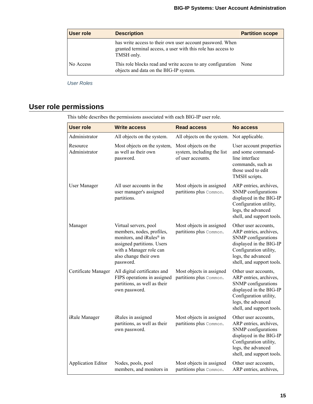<span id="page-14-0"></span>

| User role | <b>Description</b>                                                                                                                      | <b>Partition scope</b> |
|-----------|-----------------------------------------------------------------------------------------------------------------------------------------|------------------------|
|           | has write access to their own user account password. When<br>granted terminal access, a user with this role has access to<br>TMSH only. |                        |
| No Access | This role blocks read and write access to any configuration None<br>objects and data on the BIG-IP system.                              |                        |

[User Roles](#page-10-0)

## **User role permissions**

This table describes the permissions associated with each BIG-IP user role.

| <b>User role</b>          | <b>Write access</b>                                                                                                                                                           | <b>Read access</b>                                                     | No access                                                                                                                                                                     |
|---------------------------|-------------------------------------------------------------------------------------------------------------------------------------------------------------------------------|------------------------------------------------------------------------|-------------------------------------------------------------------------------------------------------------------------------------------------------------------------------|
| Administrator             | All objects on the system.                                                                                                                                                    | All objects on the system.                                             | Not applicable.                                                                                                                                                               |
| Resource<br>Administrator | Most objects on the system,<br>as well as their own<br>password.                                                                                                              | Most objects on the<br>system, including the list<br>of user accounts. | User account properties<br>and some command-<br>line interface<br>commands, such as<br>those used to edit<br>TMSH scripts.                                                    |
| <b>User Manager</b>       | All user accounts in the<br>user manager's assigned<br>partitions.                                                                                                            | Most objects in assigned<br>partitions plus Common.                    | ARP entries, archives,<br>SNMP configurations<br>displayed in the BIG-IP<br>Configuration utility,<br>logs, the advanced<br>shell, and support tools.                         |
| Manager                   | Virtual servers, pool<br>members, nodes, profiles,<br>monitors, and iRules® in<br>assigned partitions. Users<br>with a Manager role can<br>also change their own<br>password. | Most objects in assigned<br>partitions plus Common.                    | Other user accounts,<br>ARP entries, archives,<br>SNMP configurations<br>displayed in the BIG-IP<br>Configuration utility,<br>logs, the advanced<br>shell, and support tools. |
| Certificate Manager       | All digital certificates and<br>FIPS operations in assigned<br>partitions, as well as their<br>own password.                                                                  | Most objects in assigned<br>partitions plus Common.                    | Other user accounts,<br>ARP entries, archives,<br>SNMP configurations<br>displayed in the BIG-IP<br>Configuration utility,<br>logs, the advanced<br>shell, and support tools. |
| iRule Manager             | iRules in assigned<br>partitions, as well as their<br>own password.                                                                                                           | Most objects in assigned<br>partitions plus Common.                    | Other user accounts,<br>ARP entries, archives,<br>SNMP configurations<br>displayed in the BIG-IP<br>Configuration utility,<br>logs, the advanced<br>shell, and support tools. |
| <b>Application Editor</b> | Nodes, pools, pool<br>members, and monitors in                                                                                                                                | Most objects in assigned<br>partitions plus Common.                    | Other user accounts,<br>ARP entries, archives,                                                                                                                                |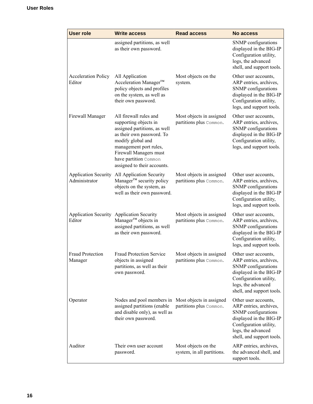| <b>User role</b>                                    | <b>Write access</b>                                                                                                                                                                                                                           | <b>Read access</b>                                  | <b>No access</b>                                                                                                                                                              |
|-----------------------------------------------------|-----------------------------------------------------------------------------------------------------------------------------------------------------------------------------------------------------------------------------------------------|-----------------------------------------------------|-------------------------------------------------------------------------------------------------------------------------------------------------------------------------------|
|                                                     | assigned partitions, as well<br>as their own password.                                                                                                                                                                                        |                                                     | SNMP configurations<br>displayed in the BIG-IP<br>Configuration utility,<br>logs, the advanced<br>shell, and support tools.                                                   |
| <b>Acceleration Policy</b><br>Editor                | All Application<br>Acceleration Manager <sup>™</sup><br>policy objects and profiles<br>on the system, as well as<br>their own password.                                                                                                       | Most objects on the<br>system.                      | Other user accounts,<br>ARP entries, archives,<br>SNMP configurations<br>displayed in the BIG-IP<br>Configuration utility,<br>logs, and support tools.                        |
| Firewall Manager                                    | All firewall rules and<br>supporting objects in<br>assigned partitions, as well<br>as their own password. To<br>modify global and<br>management port rules,<br>Firewall Managers must<br>have partition Common<br>assigned to their accounts. | Most objects in assigned<br>partitions plus Common. | Other user accounts,<br>ARP entries, archives,<br>SNMP configurations<br>displayed in the BIG-IP<br>Configuration utility,<br>logs, and support tools.                        |
| Administrator                                       | Application Security All Application Security<br>Manager <sup>™</sup> security policy<br>objects on the system, as<br>well as their own password.                                                                                             | Most objects in assigned<br>partitions plus Common. | Other user accounts,<br>ARP entries, archives,<br>SNMP configurations<br>displayed in the BIG-IP<br>Configuration utility,<br>logs, and support tools.                        |
| Application Security Application Security<br>Editor | Manager <sup>™</sup> objects in<br>assigned partitions, as well<br>as their own password.                                                                                                                                                     | Most objects in assigned<br>partitions plus Common. | Other user accounts,<br>ARP entries, archives,<br>SNMP configurations<br>displayed in the BIG-IP<br>Configuration utility,<br>logs, and support tools.                        |
| <b>Fraud Protection</b><br>Manager                  | <b>Fraud Protection Service</b><br>objects in assigned<br>partitions, as well as their<br>own password.                                                                                                                                       | Most objects in assigned<br>partitions plus Common. | Other user accounts,<br>ARP entries, archives,<br>SNMP configurations<br>displayed in the BIG-IP<br>Configuration utility,<br>logs, the advanced<br>shell, and support tools. |
| Operator                                            | Nodes and pool members in Most objects in assigned<br>assigned partitions (enable<br>and disable only), as well as<br>their own password.                                                                                                     | partitions plus Common.                             | Other user accounts,<br>ARP entries, archives,<br>SNMP configurations<br>displayed in the BIG-IP<br>Configuration utility,<br>logs, the advanced<br>shell, and support tools. |
| Auditor                                             | Their own user account<br>password.                                                                                                                                                                                                           | Most objects on the<br>system, in all partitions.   | ARP entries, archives,<br>the advanced shell, and<br>support tools.                                                                                                           |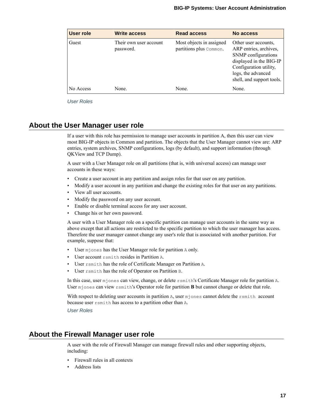<span id="page-16-0"></span>

| <b>User role</b> | <b>Write access</b>                 | <b>Read access</b>                                  | No access                                                                                                                                                                     |
|------------------|-------------------------------------|-----------------------------------------------------|-------------------------------------------------------------------------------------------------------------------------------------------------------------------------------|
| Guest            | Their own user account<br>password. | Most objects in assigned<br>partitions plus Common. | Other user accounts.<br>ARP entries, archives,<br>SNMP configurations<br>displayed in the BIG-IP<br>Configuration utility,<br>logs, the advanced<br>shell, and support tools. |
| No Access        | None.                               | None.                                               | None.                                                                                                                                                                         |

[User Roles](#page-10-0)

### **About the User Manager user role**

If a user with this role has permission to manage user accounts in partition A, then this user can view most BIG-IP objects in Common and partition. The objects that the User Manager cannot view are: ARP entries, system archives, SNMP configurations, logs (by default), and support information (through QKView and TCP Dump).

A user with a User Manager role on all partitions (that is, with universal access) can manage user accounts in these ways:

- Create a user account in any partition and assign roles for that user on any partition.
- Modify a user account in any partition and change the existing roles for that user on any partitions.
- View all user accounts.
- Modify the password on any user account.
- Enable or disable terminal access for any user account.
- Change his or her own password.

A user with a User Manager role on a specific partition can manage user accounts in the same way as above except that all actions are restricted to the specific partition to which the user manager has access. Therefore the user manager cannot change any user's role that is associated with another partition. For example, suppose that:

- User mjones has the User Manager role for partition A only.
- User account rsmith resides in Partition A.
- User rsmith has the role of Certificate Manager on Partition A.
- User rsmith has the role of Operator on Partition B.

In this case, user mjones can view, change, or delete rsmith's Certificate Manager role for partition A. User mjones can view rsmith's Operator role for partition **B** but cannot change or delete that role.

With respect to deleting user accounts in partition A, user mjones cannot delete the rsmith account because user rsmith has access to a partition other than A.

[User Roles](#page-10-0)

### **About the Firewall Manager user role**

A user with the role of Firewall Manager can manage firewall rules and other supporting objects, including:

- Firewall rules in all contexts
- Address lists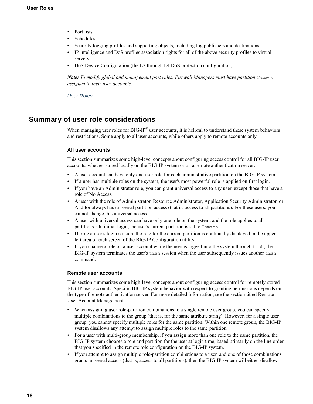- <span id="page-17-0"></span>Port lists
- **Schedules**
- Security logging profiles and supporting objects, including log publishers and destinations
- IP intelligence and DoS profiles association rights for all of the above security profiles to virtual servers
- DoS Device Configuration (the L2 through L4 DoS protection configuration)

*Note: To modify global and management port rules, Firewall Managers must have partition Common assigned to their user accounts.*

[User Roles](#page-10-0)

### **Summary of user role considerations**

When managing user roles for BIG-IP $^{\circledR}$  user accounts, it is helpful to understand these system behaviors and restrictions. Some apply to all user accounts, while others apply to remote accounts only.

#### **All user accounts**

This section summarizes some high-level concepts about configuring access control for all BIG-IP user accounts, whether stored locally on the BIG-IP system or on a remote authentication server:

- A user account can have only one user role for each administrative partition on the BIG-IP system.
- If a user has multiple roles on the system, the user's most powerful role is applied on first login.
- If you have an Administrator role, you can grant universal access to any user, except those that have a role of No Access.
- A user with the role of Administrator, Resource Administrator, Application Security Administrator, or Auditor always has universal partition access (that is, access to all partitions). For these users, you cannot change this universal access.
- A user with universal access can have only one role on the system, and the role applies to all partitions. On initial login, the user's current partition is set to Common.
- During a user's login session, the role for the current partition is continually displayed in the upper left area of each screen of the BIG-IP Configuration utility.
- If you change a role on a user account while the user is logged into the system through tmsh, the BIG-IP system terminates the user's tmsh session when the user subsequently issues another tmsh command.

#### **Remote user accounts**

This section summarizes some high-level concepts about configuring access control for remotely-stored BIG-IP user accounts. Specific BIG-IP system behavior with respect to granting permissions depends on the type of remote authentication server. For more detailed information, see the section titled Remote User Account Management.

- When assigning user role-partition combinations to a single remote user group, you can specify multiple combinations to the group (that is, for the same attribute string). However, for a single user group, you cannot specify multiple roles for the same partition. Within one remote group, the BIG-IP system disallows any attempt to assign multiple roles to the same partition.
- For a user with multi-group membership, if you assign more than one role to the same partition, the BIG-IP system chooses a role and partition for the user at login time, based primarily on the line order that you specified in the remote role configuration on the BIG-IP system.
- If you attempt to assign multiple role-partition combinations to a user, and one of those combinations grants universal access (that is, access to all partitions), then the BIG-IP system will either disallow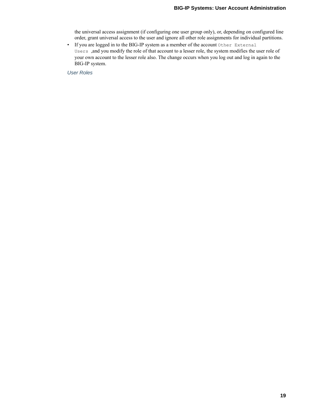the universal access assignment (if configuring one user group only), or, depending on configured line order, grant universal access to the user and ignore all other role assignments for individual partitions.

• If you are logged in to the BIG-IP system as a member of the account Other External Users ,and you modify the role of that account to a lesser role, the system modifies the user role of your own account to the lesser role also. The change occurs when you log out and log in again to the BIG-IP system.

[User Roles](#page-10-0)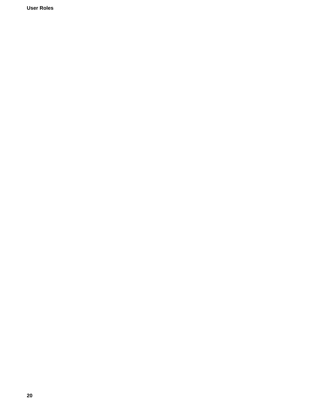**User Roles**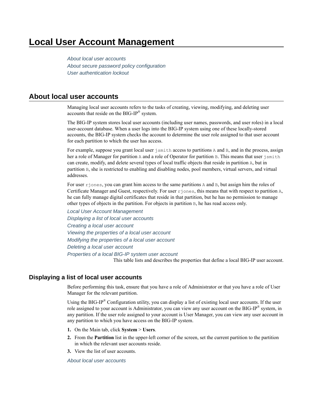## <span id="page-20-0"></span>**Local User Account Management**

About local user accounts [About secure password policy configuration](#page-24-0) [User authentication lockout](#page-26-0)

### **About local user accounts**

Managing local user accounts refers to the tasks of creating, viewing, modifying, and deleting user accounts that reside on the BIG-IP<sup>®</sup> system.

The BIG-IP system stores local user accounts (including user names, passwords, and user roles) in a local user-account database. When a user logs into the BIG-IP system using one of these locally-stored accounts, the BIG-IP system checks the account to determine the user role assigned to that user account for each partition to which the user has access.

For example, suppose you grant local user jsmith access to partitions A and B, and in the process, assign her a role of Manager for partition A and a role of Operator for partition B. This means that user jsmith can create, modify, and delete several types of local traffic objects that reside in partition A, but in partition B, she is restricted to enabling and disabling nodes, pool members, virtual servers, and virtual addresses.

For user  $r_j$  ones, you can grant him access to the same partitions A and B, but assign him the roles of Certificate Manager and Guest, respectively. For user rjones, this means that with respect to partition A, he can fully manage digital certificates that reside in that partition, but he has no permission to manage other types of objects in the partition. For objects in partition  $B$ , he has read access only.

Local User Account Management Displaying a list of local user accounts [Creating a local user account](#page-21-0) [Viewing the properties of a local user account](#page-22-0) [Modifying the properties of a local user account](#page-22-0) [Deleting a local user account](#page-23-0) [Properties of a local BIG-IP system user account](#page-24-0)

This table lists and describes the properties that define a local BIG-IP user account.

### **Displaying a list of local user accounts**

Before performing this task, ensure that you have a role of Administrator or that you have a role of User Manager for the relevant partition.

Using the BIG-IP<sup>®</sup> Configuration utility, you can display a list of existing local user accounts. If the user role assigned to your account is Administrator, you can view any user account on the BIG-IP<sup>®</sup> system, in any partition. If the user role assigned to your account is User Manager, you can view any user account in any partition to which you have access on the BIG-IP system.

- **1.** On the Main tab, click **System** > **Users**.
- **2.** From the **Partition** list in the upper-left corner of the screen, set the current partition to the partition in which the relevant user accounts reside.
- **3.** View the list of user accounts.

About local user accounts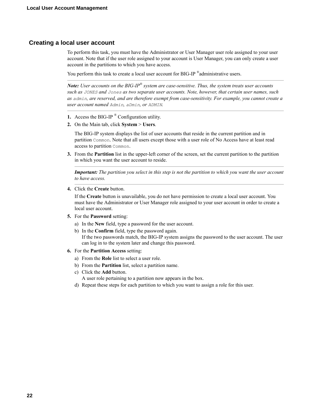#### <span id="page-21-0"></span>**Creating a local user account**

To perform this task, you must have the Administrator or User Manager user role assigned to your user account. Note that if the user role assigned to your account is User Manager, you can only create a user account in the partitions to which you have access.

You perform this task to create a local user account for BIG-IP ® administrative users.

*Note: User accounts on the BIG-IP® system are case-sensitive. Thus, the system treats user accounts such as JONES and Jones as two separate user accounts. Note, however, that certain user names, such as admin, are reserved, and are therefore exempt from case-sensitivity. For example, you cannot create a user account named Admin, aDmin, or ADMIN.*

- 1. Access the BIG-IP<sup>®</sup> Configuration utility.
- **2.** On the Main tab, click **System** > **Users**.

The BIG-IP system displays the list of user accounts that reside in the current partition and in partition Common. Note that all users except those with a user role of No Access have at least read access to partition Common.

**3.** From the **Partition** list in the upper-left corner of the screen, set the current partition to the partition in which you want the user account to reside.

*Important: The partition you select in this step is not the partition to which you want the user account to have access.*

**4.** Click the **Create** button.

If the **Create** button is unavailable, you do not have permission to create a local user account. You must have the Administrator or User Manager role assigned to your user account in order to create a local user account.

- **5.** For the **Password** setting:
	- a) In the **New** field, type a password for the user account.
	- b) In the **Confirm** field, type the password again. If the two passwords match, the BIG-IP system assigns the password to the user account. The user can log in to the system later and change this password.
- **6.** For the **Partition Access** setting:
	- a) From the **Role** list to select a user role.
	- b) From the **Partition** list, select a partition name.
	- c) Click the **Add** button.

A user role pertaining to a partition now appears in the box.

d) Repeat these steps for each partition to which you want to assign a role for this user.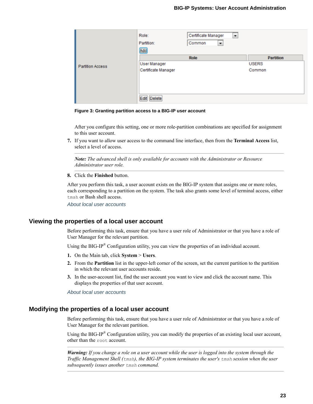<span id="page-22-0"></span>

|                         | Role:<br>Partition:<br>Add         | Certificate Manager<br>×<br>Common<br>۰ |                                  |
|-------------------------|------------------------------------|-----------------------------------------|----------------------------------|
|                         |                                    | Role                                    | <b>Partition</b><br><b>USERS</b> |
| <b>Partition Access</b> | <b>User Manager</b>                |                                         |                                  |
|                         | Certificate Manager<br>Edit Delete |                                         | Common                           |

**Figure 3: Granting partition access to a BIG-IP user account**

After you configure this setting, one or more role-partition combinations are specified for assignment to this user account.

**7.** If you want to allow user access to the command line interface, then from the **Terminal Access** list, select a level of access.

*Note: The advanced shell is only available for accounts with the Administrator or Resource Administrator user role.*

**8.** Click the **Finished** button.

After you perform this task, a user account exists on the BIG-IP system that assigns one or more roles, each corresponding to a partition on the system. The task also grants some level of terminal access, either tmsh or Bash shell access.

[About local user accounts](#page-20-0)

### **Viewing the properties of a local user account**

Before performing this task, ensure that you have a user role of Administrator or that you have a role of User Manager for the relevant partition.

Using the BIG-IP<sup>®</sup> Configuration utility, you can view the properties of an individual account.

- **1.** On the Main tab, click **System** > **Users**.
- **2.** From the **Partition** list in the upper-left corner of the screen, set the current partition to the partition in which the relevant user accounts reside.
- **3.** In the user-account list, find the user account you want to view and click the account name. This displays the properties of that user account.

[About local user accounts](#page-20-0)

### **Modifying the properties of a local user account**

Before performing this task, ensure that you have a user role of Administrator or that you have a role of User Manager for the relevant partition.

Using the BIG-IP<sup>®</sup> Configuration utility, you can modify the properties of an existing local user account, other than the root account.

*Warning: If you change a role on a user account while the user is logged into the system through the Traffic Management Shell (tmsh), the BIG-IP system terminates the user's tmsh session when the user subsequently issues another tmsh command.*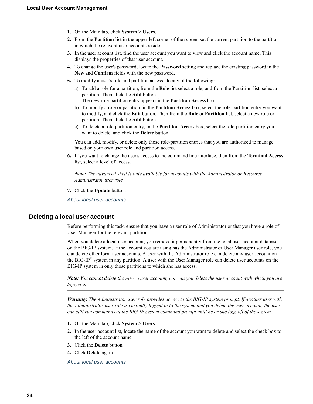- <span id="page-23-0"></span>**1.** On the Main tab, click **System** > **Users**.
- **2.** From the **Partition** list in the upper-left corner of the screen, set the current partition to the partition in which the relevant user accounts reside.
- **3.** In the user account list, find the user account you want to view and click the account name. This displays the properties of that user account.
- **4.** To change the user's password, locate the **Password** setting and replace the existing password in the **New** and **Confirm** fields with the new password.
- **5.** To modify a user's role and partition access, do any of the following:
	- a) To add a role for a partition, from the **Role** list select a role, and from the **Partition** list, select a partition. Then click the **Add** button. The new role-partition entry appears in the **Partitian Access** box.
	- b) To modify a role or partition, in the **Partition Access** box, select the role-partition entry you want to modify, and click the **Edit** button. Then from the **Role** or **Partition** list, select a new role or partition. Then click the **Add** button.
	- c) To delete a role-partition entry, in the **Partition Access** box, select the role-partition entry you want to delete, and click the **Delete** button.

You can add, modify, or delete only those role-partition entries that you are authorized to manage based on your own user role and partition access.

**6.** If you want to change the user's access to the command line interface, then from the **Terminal Access** list, select a level of access.

*Note: The advanced shell is only available for accounts with the Administrator or Resource Administrator user role.*

**7.** Click the **Update** button.

[About local user accounts](#page-20-0)

#### **Deleting a local user account**

Before performing this task, ensure that you have a user role of Administrator or that you have a role of User Manager for the relevant partition.

When you delete a local user account, you remove it permanently from the local user-account database on the BIG-IP system. If the account you are using has the Administrator or User Manager user role, you can delete other local user accounts. A user with the Administrator role can delete any user account on the BIG-IP<sup>®</sup> system in any partition. A user with the User Manager role can delete user accounts on the BIG-IP system in only those partitions to which she has access.

*Note: You cannot delete the admin user account, nor can you delete the user account with which you are logged in.*

*Warning: The Administrator user role provides access to the BIG-IP system prompt. If another user with the Administrator user role is currently logged in to the system and you delete the user account, the user can still run commands at the BIG-IP system command prompt until he or she logs off of the system.*

- **1.** On the Main tab, click **System** > **Users**.
- **2.** In the user-account list, locate the name of the account you want to delete and select the check box to the left of the account name.
- **3.** Click the **Delete** button.
- **4.** Click **Delete** again.

[About local user accounts](#page-20-0)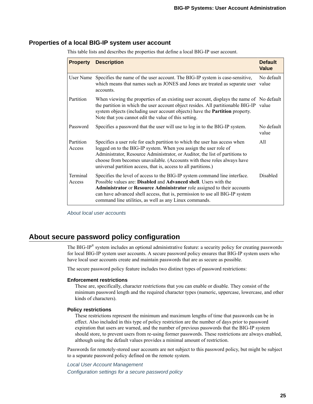### <span id="page-24-0"></span>**Properties of a local BIG-IP system user account**

|  |  |  |  |  |  |  | This table lists and describes the properties that define a local BIG-IP user account. |  |
|--|--|--|--|--|--|--|----------------------------------------------------------------------------------------|--|
|--|--|--|--|--|--|--|----------------------------------------------------------------------------------------|--|

| <b>Property</b>     | <b>Description</b>                                                                                                                                                                                                                                                                                                                                                                 | <b>Default</b><br>Value |
|---------------------|------------------------------------------------------------------------------------------------------------------------------------------------------------------------------------------------------------------------------------------------------------------------------------------------------------------------------------------------------------------------------------|-------------------------|
|                     | User Name Specifies the name of the user account. The BIG-IP system is case-sensitive,<br>which means that names such as JONES and Jones are treated as separate user value<br>accounts.                                                                                                                                                                                           | No default              |
| Partition           | When viewing the properties of an existing user account, displays the name of No default<br>the partition in which the user account object resides. All partitionable BIG-IP value<br>system objects (including user account objects) have the <b>Partition</b> property.<br>Note that you cannot edit the value of this setting.                                                  |                         |
| Password            | Specifies a password that the user will use to log in to the BIG-IP system.                                                                                                                                                                                                                                                                                                        | No default<br>value     |
| Partition<br>Access | Specifies a user role for each partition to which the user has access when<br>logged on to the BIG-IP system. When you assign the user role of<br>Administrator, Resource Administrator, or Auditor, the list of partitions to<br>choose from becomes unavailable. (Accounts with these roles always have<br>universal partition access, that is, access to all partitions.)       | A11                     |
| Terminal<br>Access  | Specifies the level of access to the BIG-IP system command line interface.<br>Possible values are: <b>Disabled</b> and <b>Advanced shell</b> . Users with the<br>Administrator or Resource Administrator role assigned to their accounts<br>can have advanced shell access, that is, permission to use all BIG-IP system<br>command line utilities, as well as any Linux commands. | Disabled                |

[About local user accounts](#page-20-0)

### **About secure password policy configuration**

The BIG-IP<sup>®</sup> system includes an optional administrative feature: a security policy for creating passwords for local BIG-IP system user accounts. A secure password policy ensures that BIG-IP system users who have local user accounts create and maintain passwords that are as secure as possible.

The secure password policy feature includes two distinct types of password restrictions:

#### **Enforcement restrictions**

These are, specifically, character restrictions that you can enable or disable. They consist of the minimum password length and the required character types (numeric, uppercase, lowercase, and other kinds of characters).

#### **Policy restrictions**

These restrictions represent the minimum and maximum lengths of time that passwords can be in effect. Also included in this type of policy restriction are the number of days prior to password expiration that users are warned, and the number of previous passwords that the BIG-IP system should store, to prevent users from re-using former passwords. These restrictions are always enabled, although using the default values provides a minimal amount of restriction.

Passwords for remotely-stored user accounts are not subject to this password policy, but might be subject to a separate password policy defined on the remote system.

[Local User Account Management](#page-20-0) [Configuration settings for a secure password policy](#page-25-0)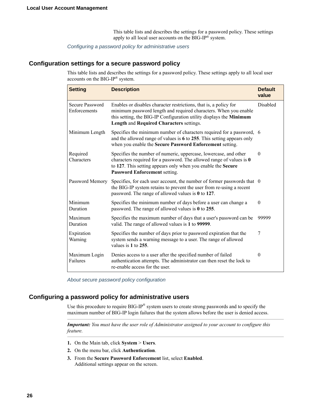This table lists and describes the settings for a password policy. These settings apply to all local user accounts on the BIG-IP® system.

Configuring a password policy for administrative users

### <span id="page-25-0"></span>**Configuration settings for a secure password policy**

This table lists and describes the settings for a password policy. These settings apply to all local user accounts on the BIG-IP® system.

| <b>Setting</b>                         | <b>Description</b>                                                                                                                                                                                                                                       | <b>Default</b><br>value |
|----------------------------------------|----------------------------------------------------------------------------------------------------------------------------------------------------------------------------------------------------------------------------------------------------------|-------------------------|
| <b>Secure Password</b><br>Enforcements | Enables or disables character restrictions, that is, a policy for<br>minimum password length and required characters. When you enable<br>this setting, the BIG-IP Configuration utility displays the Minimum<br>Length and Required Characters settings. | <b>Disabled</b>         |
| Minimum Length                         | Specifies the minimum number of characters required for a password, 6<br>and the allowed range of values is $6$ to $255$ . This setting appears only<br>when you enable the Secure Password Enforcement setting.                                         |                         |
| Required<br>Characters                 | Specifies the number of numeric, uppercase, lowercase, and other<br>characters required for a password. The allowed range of values is $\theta$<br>to 127. This setting appears only when you enable the Secure<br>Password Enforcement setting.         | $\theta$                |
| Password Memory                        | Specifies, for each user account, the number of former passwords that 0<br>the BIG-IP system retains to prevent the user from re-using a recent<br>password. The range of allowed values is 0 to 127.                                                    |                         |
| Minimum<br>Duration                    | Specifies the minimum number of days before a user can change a<br>password. The range of allowed values is 0 to 255.                                                                                                                                    | $\theta$                |
| Maximum<br>Duration                    | Specifies the maximum number of days that a user's password can be<br>valid. The range of allowed values is 1 to 99999.                                                                                                                                  | 99999                   |
| Expiration<br>Warning                  | Specifies the number of days prior to password expiration that the<br>system sends a warning message to a user. The range of allowed<br>values is $1$ to $255$ .                                                                                         | 7                       |
| Maximum Login<br>Failures              | Denies access to a user after the specified number of failed<br>authentication attempts. The administrator can then reset the lock to<br>re-enable access for the user.                                                                                  | $\theta$                |

[About secure password policy configuration](#page-24-0)

### **Configuring a password policy for administrative users**

Use this procedure to require BIG-IP<sup>®</sup> system users to create strong passwords and to specify the maximum number of BIG-IP login failures that the system allows before the user is denied access.

*Important: You must have the user role of Administrator assigned to your account to configure this feature.*

- **1.** On the Main tab, click **System** > **Users**.
- **2.** On the menu bar, click **Authentication**.
- **3.** From the **Secure Password Enforcement** list, select **Enabled**. Additional settings appear on the screen.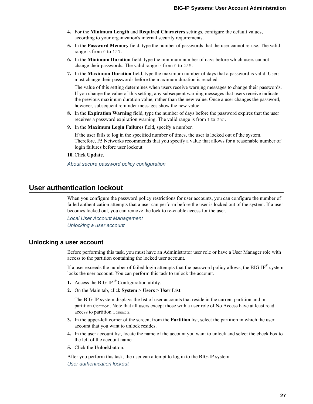- <span id="page-26-0"></span>**4.** For the **Minimum Length** and **Required Characters** settings, configure the default values, according to your organization's internal security requirements.
- **5.** In the **Password Memory** field, type the number of passwords that the user cannot re-use. The valid range is from 0 to 127.
- **6.** In the **Minimum Duration** field, type the minimum number of days before which users cannot change their passwords. The valid range is from 0 to 255.
- **7.** In the **Maximum Duration** field, type the maximum number of days that a password is valid. Users must change their passwords before the maximum duration is reached.

The value of this setting determines when users receive warning messages to change their passwords. If you change the value of this setting, any subsequent warning messages that users receive indicate the previous maximum duration value, rather than the new value. Once a user changes the password, however, subsequent reminder messages show the new value.

- **8.** In the **Expiration Warning** field, type the number of days before the password expires that the user receives a password expiration warning. The valid range is from 1 to 255.
- **9.** In the **Maximum Login Failures** field, specify a number.

If the user fails to log in the specified number of times, the user is locked out of the system. Therefore, F5 Networks recommends that you specify a value that allows for a reasonable number of login failures before user lockout.

### **10.** Click **Update**.

[About secure password policy configuration](#page-24-0)

### **User authentication lockout**

When you configure the password policy restrictions for user accounts, you can configure the number of failed authentication attempts that a user can perform before the user is locked out of the system. If a user becomes locked out, you can remove the lock to re-enable access for the user.

[Local User Account Management](#page-20-0) Unlocking a user account

### **Unlocking a user account**

Before performing this task, you must have an Administrator user role or have a User Manager role with access to the partition containing the locked user account.

If a user exceeds the number of failed login attempts that the password policy allows, the BIG-IP<sup>®</sup> system locks the user account. You can perform this task to unlock the account.

- 1. Access the BIG-IP<sup>®</sup> Configuration utility.
- **2.** On the Main tab, click **System** > **Users** > **User List**.

The BIG-IP system displays the list of user accounts that reside in the current partition and in partition Common. Note that all users except those with a user role of No Access have at least read access to partition Common.

- **3.** In the upper-left corner of the screen, from the **Partition** list, select the partition in which the user account that you want to unlock resides.
- **4.** In the user account list, locate the name of the account you want to unlock and select the check box to the left of the account name.
- **5.** Click the **Unlock**button.

After you perform this task, the user can attempt to log in to the BIG-IP system. User authentication lockout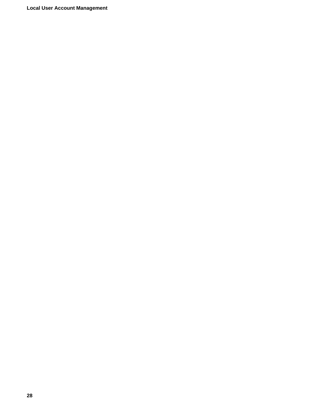**Local User Account Management**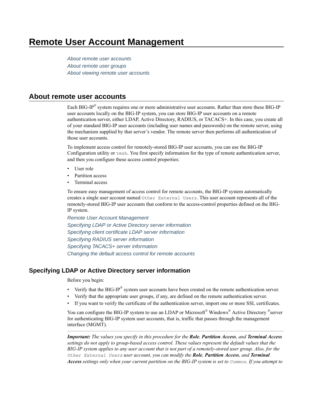## <span id="page-28-0"></span>**Remote User Account Management**

About remote user accounts [About remote user groups](#page-35-0) [About viewing remote user accounts](#page-41-0)

### **About remote user accounts**

Each BIG-IP<sup>®</sup> system requires one or more administrative user accounts. Rather than store these BIG-IP user accounts locally on the BIG-IP system, you can store BIG-IP user accounts on a remote authentication server, either LDAP, Active Directory, RADIUS, or TACACS+. In this case, you create all of your standard BIG-IP user accounts (including user names and passwords) on the remote server, using the mechanism supplied by that server's vendor. The remote server then performs all authentication of those user accounts.

To implement access control for remotely-stored BIG-IP user accounts, you can use the BIG-IP Configuration utility or tmsh. You first specify information for the type of remote authentication server, and then you configure these access control properties:

- User role
- Partition access
- Terminal access

To ensure easy management of access control for remote accounts, the BIG-IP system automatically creates a single user account named Other External Users. This user account represents all of the remotely-stored BIG-IP user accounts that conform to the access-control properties defined on the BIG-IP system.

Remote User Account Management Specifying LDAP or Active Directory server information [Specifying client certificate LDAP server information](#page-30-0) [Specifying RADIUS server information](#page-32-0) [Specifying TACACS+ server information](#page-33-0) [Changing the default access control for remote accounts](#page-34-0)

### **Specifying LDAP or Active Directory server information**

Before you begin:

- Verify that the BIG-IP<sup>®</sup> system user accounts have been created on the remote authentication server.
- Verify that the appropriate user groups, if any, are defined on the remote authentication server.
- If you want to verify the certificate of the authentication server, import one or more SSL certificates.

You can configure the BIG-IP system to use an LDAP or Microsoft® Windows® Active Directory ®server for authenticating BIG-IP system user accounts, that is, traffic that passes through the management interface (MGMT).

*Important: The values you specify in this procedure for the Role, Partition Access, and Terminal Access settings do not apply to group-based access control. These values represent the default values that the BIG-IP system applies to any user account that is not part of a remotely-stored user group. Also, for the Other External Users user account, you can modify the Role, Partition Access, and Terminal Access settings only when your current partition on the BIG-IP system is set to Common. If you attempt to*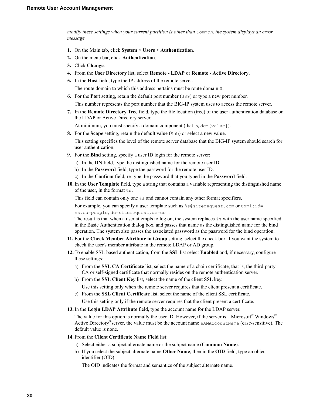*modify these settings when your current partition is other than Common, the system displays an error message.*

- **1.** On the Main tab, click **System** > **Users** > **Authentication**.
- **2.** On the menu bar, click **Authentication**.
- **3.** Click **Change**.
- **4.** From the **User Directory** list, select **Remote LDAP** or **Remote Active Directory**.
- **5.** In the **Host** field, type the IP address of the remote server.

The route domain to which this address pertains must be route domain 0.

- **6.** For the **Port** setting, retain the default port number (389) or type a new port number. This number represents the port number that the BIG-IP system uses to access the remote server.
- **7.** In the **Remote Directory Tree** field, type the file location (tree) of the user authentication database on the LDAP or Active Directory server.

At minimum, you must specify a domain component (that is,  $dc=[value]$ ).

**8.** For the **Scope** setting, retain the default value (Sub) or select a new value.

This setting specifies the level of the remote server database that the BIG-IP system should search for user authentication.

- **9.** For the **Bind** setting, specify a user ID login for the remote server:
	- a) In the **DN** field, type the distinguished name for the remote user ID.
	- b) In the **Password** field, type the password for the remote user ID.
	- c) In the **Confirm** field, re-type the password that you typed in the **Password** field.
- **10.** In the **User Template** field, type a string that contains a variable representing the distinguished name of the user, in the format %s.

This field can contain only one %s and cannot contain any other format specifiers.

For example, you can specify a user template such as  $\frac{1}{6}$  sets iteraguest.com or uxml:id=

%s,ou=people,dc=siterequest,dc=com.

The result is that when a user attempts to log on, the system replaces %s with the user name specified in the Basic Authentication dialog box, and passes that name as the distinguished name for the bind operation. The system also passes the associated password as the password for the bind operation.

- **11.** For the **Check Member Attribute in Group** setting, select the check box if you want the system to check the user's member attribute in the remote LDAP or AD group.
- **12.** To enable SSL-based authentication, from the **SSL** list select **Enabled** and, if necessary, configure these settings:
	- a) From the **SSL CA Certificate** list, select the name of a chain certificate, that is, the third-party CA or self-signed certificate that normally resides on the remote authentication server.
	- b) From the **SSL Client Key** list, select the name of the client SSL key. Use this setting only when the remote server requires that the client present a certificate.
	- c) From the **SSL Client Certificate** list, select the name of the client SSL certificate.
	- Use this setting only if the remote server requires that the client present a certificate.
- **13.** In the **Login LDAP Attribute** field, type the account name for the LDAP server.

The value for this option is normally the user ID. However, if the server is a Microsoft<sup>®</sup> Windows<sup>®</sup> Active Directory® server, the value must be the account name sAMAccountName (case-sensitive). The default value is none.

- **14.**From the **Client Certificate Name Field** list:
	- a) Select either a subject alternate name or the subject name (**Common Name**).
	- b) If you select the subject alternate name **Other Name**, then in the **OID** field, type an object identifier (OID).

The OID indicates the format and semantics of the subject alternate name.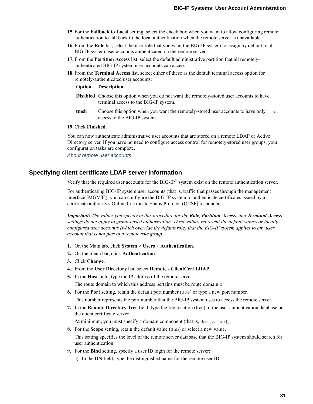- <span id="page-30-0"></span>**15.**For the **Fallback to Local** setting, select the check box when you want to allow configuring remote authentication to fall back to the local authentication when the remote server is unavailable.
- **16.**From the **Role** list, select the user role that you want the BIG-IP system to assign by default to all BIG-IP system user accounts authenticated on the remote server.
- **17.**From the **Partition Access** list, select the default administrative partition that all remotelyauthenticated BIG-IP system user accounts can access.
- **18.**From the **Terminal Access** list, select either of these as the default terminal access option for remotely-authenticated user accounts:

#### **Option Description**

- **Disabled** Choose this option when you do not want the remotely-stored user accounts to have terminal access to the BIG-IP system.
- **tmsh** Choose this option when you want the remotely-stored user accounts to have only tmsh access to the BIG-IP system.

#### **19.** Click **Finished**.

You can now authenticate administrative user accounts that are stored on a remote LDAP or Active Directory server. If you have no need to configure access control for remotely-stored user groups, your configuration tasks are complete.

[About remote user accounts](#page-28-0)

### **Specifying client certificate LDAP server information**

Verify that the required user accounts for the BIG-IP<sup>®</sup> system exist on the remote authentication server.

For authenticating BIG-IP system user accounts (that is, traffic that passes through the management interface [MGMT]), you can configure the BIG-IP system to authenticate certificates issued by a certificate authority's Online Certificate Status Protocol (OCSP) responder.

*Important: The values you specify in this procedure for the Role, Partition Access, and Terminal Access settings do not apply to group-based authorization. These values represent the default values or locally configured user accounts (which override the default role) that the BIG-IP system applies to any user account that is not part of a remote role group.*

- **1.** On the Main tab, click **System** > **Users** > **Authentication**.
- **2.** On the menu bar, click **Authentication**.
- **3.** Click **Change**.
- **4.** From the **User Directory** list, select **Remote ClientCert LDAP**.
- **5.** In the **Host** field, type the IP address of the remote server.

The route domain to which this address pertains must be route domain 0.

**6.** For the **Port** setting, retain the default port number (389) or type a new port number.

This number represents the port number that the BIG-IP system uses to access the remote server.

**7.** In the **Remote Directory Tree** field, type the file location (tree) of the user authentication database on the client certificate server.

At minimum, you must specify a domain component (that is,  $dc=[value]$ ).

- **8.** For the **Scope** setting, retain the default value (Sub) or select a new value. This setting specifies the level of the remote server database that the BIG-IP system should search for user authentication.
- **9.** For the **Bind** setting, specify a user ID login for the remote server:

a) In the **DN** field, type the distinguished name for the remote user ID.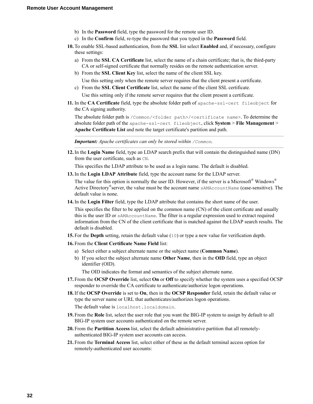- b) In the **Password** field, type the password for the remote user ID.
- c) In the **Confirm** field, re-type the password that you typed in the **Password** field.
- **10.** To enable SSL-based authentication, from the **SSL** list select **Enabled** and, if necessary, configure these settings:
	- a) From the **SSL CA Certificate** list, select the name of a chain certificate; that is, the third-party CA or self-signed certificate that normally resides on the remote authentication server.
	- b) From the **SSL Client Key** list, select the name of the client SSL key.

Use this setting only when the remote server requires that the client present a certificate.

- c) From the **SSL Client Certificate** list, select the name of the client SSL certificate.
	- Use this setting only if the remote server requires that the client present a certificate.
- **11.** In the **CA Certificate** field, type the absolute folder path of apache-ssl-cert fileobject for the CA signing authority.

The absolute folder path is /Common/<folder path>/<certificate name>. To determine the absolute folder path of the apache-ssl-cert fileobject, click **System** > **File Management** > **Apache Certificate List** and note the target certificate's partition and path.

*Important: Apache certificates can only be stored within /Common.*

**12.** In the **Login Name** field, type an LDAP search prefix that will contain the distinguished name (DN) from the user certificate, such as CN.

This specifies the LDAP attribute to be used as a login name. The default is disabled.

**13.** In the **Login LDAP Attribute** field, type the account name for the LDAP server.

The value for this option is normally the user ID. However, if the server is a Microsoft<sup>®</sup> Windows<sup>®</sup> Active Directory® server, the value must be the account name sAMAccountName (case-sensitive). The default value is none.

**14.** In the **Login Filter** field, type the LDAP attribute that contains the short name of the user.

This specifies the filter to be applied on the common name (CN) of the client certificate and usually this is the user ID or sAMAccountName. The filter is a regular expression used to extract required information from the CN of the client certificate that is matched against the LDAP search results. The default is disabled.

- **15.**For the **Depth** setting, retain the default value (10) or type a new value for verification depth.
- **16.**From the **Client Certificate Name Field** list:
	- a) Select either a subject alternate name or the subject name (**Common Name**).
	- b) If you select the subject alternate name **Other Name**, then in the **OID** field, type an object identifier (OID).

The OID indicates the format and semantics of the subject alternate name.

- **17.**From the **OCSP Override** list, select **On** or **Off** to specify whether the system uses a specified OCSP responder to override the CA certificate to authenticate/authorize logon operations.
- **18.** If the **OCSP Override** is set to **On**, then in the **OCSP Responder** field, retain the default value or type the server name or URL that authenticates/authorizes logon operations.

The default value is localhost.localdomain.

- **19.**From the **Role** list, select the user role that you want the BIG-IP system to assign by default to all BIG-IP system user accounts authenticated on the remote server.
- **20.**From the **Partition Access** list, select the default administrative partition that all remotelyauthenticated BIG-IP system user accounts can access.
- **21.**From the **Terminal Access** list, select either of these as the default terminal access option for remotely-authenticated user accounts: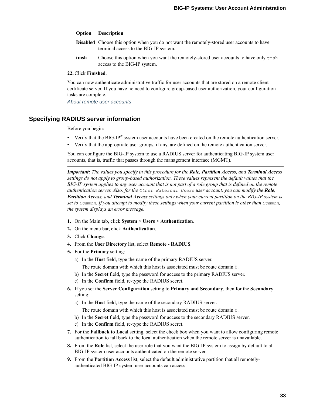#### <span id="page-32-0"></span>**Option Description**

- **Disabled** Choose this option when you do not want the remotely-stored user accounts to have terminal access to the BIG-IP system.
- **tmsh** Choose this option when you want the remotely-stored user accounts to have only tensh access to the BIG-IP system.

#### **22.** Click **Finished**.

You can now authenticate administrative traffic for user accounts that are stored on a remote client certificate server. If you have no need to configure group-based user authorization, your configuration tasks are complete.

[About remote user accounts](#page-28-0)

### **Specifying RADIUS server information**

Before you begin:

- Verify that the BIG-IP<sup>®</sup> system user accounts have been created on the remote authentication server.
- Verify that the appropriate user groups, if any, are defined on the remote authentication server.

You can configure the BIG-IP system to use a RADIUS server for authenticating BIG-IP system user accounts, that is, traffic that passes through the management interface (MGMT).

*Important: The values you specify in this procedure for the Role, Partition Access, and Terminal Access settings do not apply to group-based authorization. These values represent the default values that the BIG-IP system applies to any user account that is not part of a role group that is defined on the remote authentication server. Also, for the Other External Users user account, you can modify the Role, Partition Access, and Terminal Access settings only when your current partition on the BIG-IP system is set to Common. If you attempt to modify these settings when your current partition is other than Common, the system displays an error message.*

- **1.** On the Main tab, click **System** > **Users** > **Authentication**.
- **2.** On the menu bar, click **Authentication**.
- **3.** Click **Change**.
- **4.** From the **User Directory** list, select **Remote RADIUS**.
- **5.** For the **Primary** setting:
	- a) In the **Host** field, type the name of the primary RADIUS server.
		- The route domain with which this host is associated must be route domain 0.
	- b) In the **Secret** field, type the password for access to the primary RADIUS server.
	- c) In the **Confirm** field, re-type the RADIUS secret.
- **6.** If you set the **Server Configuration** setting to **Primary and Secondary**, then for the **Secondary** setting:
	- a) In the **Host** field, type the name of the secondary RADIUS server.
	- The route domain with which this host is associated must be route domain 0.
	- b) In the **Secret** field, type the password for access to the secondary RADIUS server.
	- c) In the **Confirm** field, re-type the RADIUS secret.
- **7.** For the **Fallback to Local** setting, select the check box when you want to allow configuring remote authentication to fall back to the local authentication when the remote server is unavailable.
- **8.** From the **Role** list, select the user role that you want the BIG-IP system to assign by default to all BIG-IP system user accounts authenticated on the remote server.
- **9.** From the **Partition Access** list, select the default administrative partition that all remotelyauthenticated BIG-IP system user accounts can access.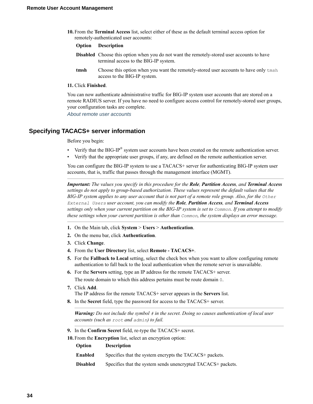<span id="page-33-0"></span>**10.**From the **Terminal Access** list, select either of these as the default terminal access option for remotely-authenticated user accounts:

#### **Option Description**

- **Disabled** Choose this option when you do not want the remotely-stored user accounts to have terminal access to the BIG-IP system.
- **tmsh** Choose this option when you want the remotely-stored user accounts to have only tmsh access to the BIG-IP system.

#### **11.** Click **Finished**.

You can now authenticate administrative traffic for BIG-IP system user accounts that are stored on a remote RADIUS server. If you have no need to configure access control for remotely-stored user groups, your configuration tasks are complete.

[About remote user accounts](#page-28-0)

### **Specifying TACACS+ server information**

Before you begin:

- Verify that the BIG-IP<sup>®</sup> system user accounts have been created on the remote authentication server.
- Verify that the appropriate user groups, if any, are defined on the remote authentication server.

You can configure the BIG-IP system to use a TACACS+ server for authenticating BIG-IP system user accounts, that is, traffic that passes through the management interface (MGMT).

*Important: The values you specify in this procedure for the Role, Partition Access, and Terminal Access settings do not apply to group-based authorization. These values represent the default values that the BIG-IP system applies to any user account that is not part of a remote role group. Also, for the Other External Users user account, you can modify the Role, Partition Access, and Terminal Access settings only when your current partition on the BIG-IP system is set to Common. If you attempt to modify these settings when your current partition is other than Common, the system displays an error message.*

- **1.** On the Main tab, click **System** > **Users** > **Authentication**.
- **2.** On the menu bar, click **Authentication**.
- **3.** Click **Change**.
- **4.** From the **User Directory** list, select **Remote TACACS+**.
- **5.** For the **Fallback to Local** setting, select the check box when you want to allow configuring remote authentication to fall back to the local authentication when the remote server is unavailable.
- **6.** For the **Servers** setting, type an IP address for the remote TACACS+ server. The route domain to which this address pertains must be route domain 0.
- **7.** Click **Add**. The IP address for the remote TACACS+ server appears in the **Servers** list.
- **8.** In the **Secret** field, type the password for access to the TACACS+ server.

*Warning: Do not include the symbol # in the secret. Doing so causes authentication of local user accounts (such as root and admin) to fail.*

**9.** In the **Confirm Secret** field, re-type the TACACS+ secret.

**10.**From the **Encryption** list, select an encryption option:

| Option          | <b>Description</b>                                           |
|-----------------|--------------------------------------------------------------|
| Enabled         | Specifies that the system encrypts the TACACS+ packets.      |
| <b>Disabled</b> | Specifies that the system sends unencrypted TACACS+ packets. |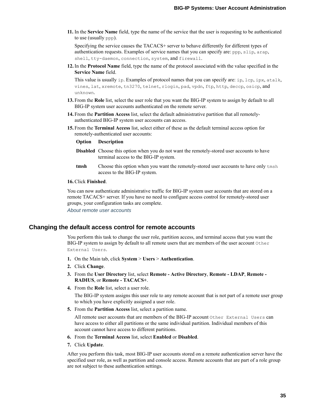<span id="page-34-0"></span>**11.** In the **Service Name** field, type the name of the service that the user is requesting to be authenticated to use (usually ppp).

Specifying the service causes the TACACS+ server to behave differently for different types of authentication requests. Examples of service names that you can specify are: ppp, slip, arap, shell, tty-daemon, connection, system, and firewall.

**12.** In the **Protocol Name** field, type the name of the protocol associated with the value specified in the **Service Name** field.

This value is usually ip. Examples of protocol names that you can specify are: ip, lcp, ipx, atalk, vines, lat, xremote, tn3270, telnet, rlogin, pad, vpdn, ftp, http, deccp, osicp, and unknown.

- **13.**From the **Role** list, select the user role that you want the BIG-IP system to assign by default to all BIG-IP system user accounts authenticated on the remote server.
- **14.**From the **Partition Access** list, select the default administrative partition that all remotelyauthenticated BIG-IP system user accounts can access.
- **15.**From the **Terminal Access** list, select either of these as the default terminal access option for remotely-authenticated user accounts:

**Option Description**

- **Disabled** Choose this option when you do not want the remotely-stored user accounts to have terminal access to the BIG-IP system.
- **tmsh** Choose this option when you want the remotely-stored user accounts to have only tmsh access to the BIG-IP system.

#### **16.** Click **Finished**.

You can now authenticate administrative traffic for BIG-IP system user accounts that are stored on a remote TACACS+ server. If you have no need to configure access control for remotely-stored user groups, your configuration tasks are complete.

[About remote user accounts](#page-28-0)

### **Changing the default access control for remote accounts**

You perform this task to change the user role, partition access, and terminal access that you want the BIG-IP system to assign by default to all remote users that are members of the user account Other External Users.

- **1.** On the Main tab, click **System** > **Users** > **Authentication**.
- **2.** Click **Change**.
- **3.** From the **User Directory** list, select **Remote Active Directory**, **Remote LDAP**, **Remote - RADIUS**, or **Remote - TACACS+**.
- **4.** From the **Role** list, select a user role.

The BIG-IP system assigns this user role to any remote account that is not part of a remote user group to which you have explicitly assigned a user role.

**5.** From the **Partition Access** list, select a partition name.

All remote user accounts that are members of the BIG-IP account Other External Users can have access to either all partitions or the same individual partition. Individual members of this account cannot have access to different partitions.

- **6.** From the **Terminal Access** list, select **Enabled** or **Disabled**.
- **7.** Click **Update**.

After you perform this task, most BIG-IP user accounts stored on a remote authentication server have the specified user role, as well as partition and console access. Remote accounts that are part of a role group are not subject to these authentication settings.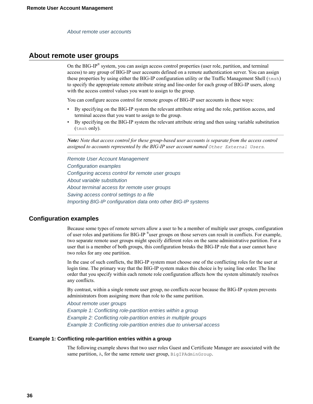[About remote user accounts](#page-28-0)

### <span id="page-35-0"></span>**About remote user groups**

On the BIG-IP<sup>®</sup> system, you can assign access control properties (user role, partition, and terminal access) to any group of BIG-IP user accounts defined on a remote authentication server. You can assign these properties by using either the BIG-IP configuration utility or the Traffic Management Shell ( $tmsh$ ) to specify the appropriate remote attribute string and line-order for each group of BIG-IP users, along with the access control values you want to assign to the group.

You can configure access control for remote groups of BIG-IP user accounts in these ways:

- By specifying on the BIG-IP system the relevant attribute string and the role, partition access, and terminal access that you want to assign to the group.
- By specifying on the BIG-IP system the relevant attribute string and then using variable substitution (tmsh only).

*Note: Note that access control for these group-based user accounts is separate from the access control assigned to accounts represented by the BIG-IP user account named Other External Users.*

[Remote User Account Management](#page-28-0) Configuration examples [Configuring access control for remote user groups](#page-37-0) [About variable substitution](#page-38-0) [About terminal access for remote user groups](#page-40-0) [Saving access control settings to a file](#page-40-0) [Importing BIG-IP configuration data onto other BIG-IP systems](#page-40-0)

### **Configuration examples**

Because some types of remote servers allow a user to be a member of multiple user groups, configuration of user roles and partitions for BIG-IP <sup>®</sup>user groups on those servers can result in conflicts. For example, two separate remote user groups might specify different roles on the same administrative partition. For a user that is a member of both groups, this configuration breaks the BIG-IP rule that a user cannot have two roles for any one partition.

In the case of such conflicts, the BIG-IP system must choose one of the conflicting roles for the user at login time. The primary way that the BIG-IP system makes this choice is by using line order. The line order that you specify within each remote role configuration affects how the system ultimately resolves any conflicts.

By contrast, within a single remote user group, no conflicts occur because the BIG-IP system prevents administrators from assigning more than role to the same partition.

About remote user groups Example 1: Conflicting role-partition entries within a group [Example 2: Conflicting role-partition entries in multiple groups](#page-36-0) [Example 3: Conflicting role-partition entries due to universal access](#page-37-0)

#### **Example 1: Conflicting role-partition entries within a group**

The following example shows that two user roles Guest and Certificate Manager are associated with the same partition, A, for the same remote user group, BigIPAdminGroup.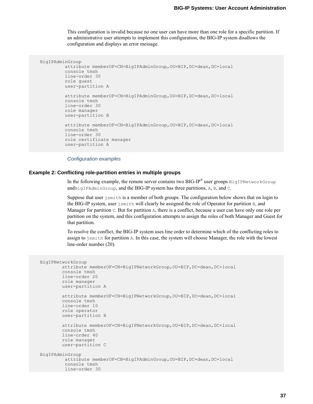This configuration is invalid because no one user can have more than one role for a specific partition. If an administrative user attempts to implement this configuration, the BIG-IP system disallows the configuration and displays an error message.

```
 BigIPAdminGroup
          attribute memberOF=CN=BigIPAdminGroup,OU=BIP,DC=dean,DC=local
          console tmsh
          line-order 30
          role guest
          user-partition A
          attribute memberOF=CN=BigIPAdminGroup,OU=BIP,DC=dean,DC=local
          console tmsh
          line-order 30
          role manager
          user-partition B
          attribute memberOF=CN=BigIPAdminGroup,OU=BIP,DC=dean,DC=local
          console tmsh
          line-order 30
          role certificate manager
          user-partition A
```
#### [Configuration examples](#page-35-0)

#### **Example 2: Conflicting role-partition entries in multiple groups**

In the following example, the remote server contains two BIG-IP® user groups  $\texttt{BigDWetworkGroup}$ andBigIPAdminGroup, and the BIG-IP system has three partitions, A, B, and C.

Suppose that user  $\frac{1}{3}$  smith is a member of both groups. The configuration below shows that on login to the BIG-IP system, user jsmith will clearly be assigned the role of Operator for partition B, and Manager for partition C. But for partition A, there is a conflict, because a user can have only one role per partition on the system, and this configuration attempts to assign the roles of both Manager and Guest for that partition.

To resolve the conflict, the BIG-IP system uses line order to determine which of the conflicting roles to assign to jsmith for partition A. In this case, the system will choose Manager, the role with the lowest line-order number (20).

```
 BigIPNetworkGroup
         attribute memberOF=CN=BigIPNetworkGroup,OU=BIP,DC=dean,DC=local
         console tmsh
         line-order 20
         role manager
         user-partition A
         attribute memberOF=CN=BigIPNetworkGroup,OU=BIP,DC=dean,DC=local
         console tmsh
         line-order 10
         role operator
         user-partition B
         attribute memberOF=CN=BigIPNetworkGroup,OU=BIP,DC=dean,DC=local
         console tmsh
         line-order 40
         role manager
         user-partition C
 BigIPAdminGroup
          attribute memberOF=CN=BigIPAdminGroup,OU=BIP,DC=dean,DC=local
          console tmsh
          line-order 30
```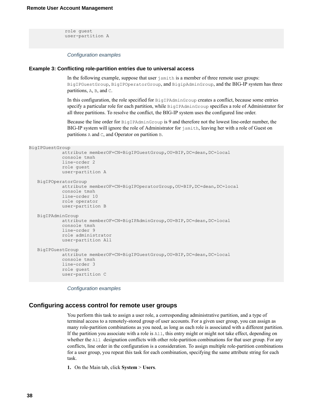```
 role guest
 user-partition A
```
[Configuration examples](#page-35-0)

#### **Example 3: Conflicting role-partition entries due to universal access**

In the following example, suppose that user  $\frac{1}{2}$  smith is a member of three remote user groups: BigIPGuestGroup, BigIPOperatorGroup, and BigipAdminGroup, and the BIG-IP system has three partitions, A, B, and C.

In this configuration, the role specified for BigIPAdminGroup creates a conflict, because some entries specify a particular role for each partition, while BigIPAdminGroup specifies a role of Administrator for all three partitions. To resolve the conflict, the BIG-IP system uses the configured line order.

Because the line order for BigIPAdminGroup is 9 and therefore not the lowest line-order number, the BIG-IP system will ignore the role of Administrator for  $j$ smith, leaving her with a role of Guest on partitions A and C, and Operator on partition B.

```
BigIPGuestGroup 
             attribute memberOF=CN=BigIPGuestGroup,OU=BIP,DC=dean,DC=local
             console tmsh
             line-order 2
             role guest
             user-partition A
    BigIPOperatorGroup 
             attribute memberOF=CN=BigIPOperatorGroup,OU=BIP,DC=dean,DC=local
             console tmsh
             line-order 10
             role operator
             user-partition B
    BigIPAdminGroup 
             attribute memberOF=CN=BigIPAdminGroup,OU=BIP,DC=dean,DC=local
             console tmsh
             line-order 9
             role administrator
             user-partition All
    BigIPGuestGroup
             attribute memberOF=CN=BigIPGuestGroup,OU=BIP,DC=dean,DC=local
             console tmsh
             line-order 3
             role guest
             user-partition C
```
[Configuration examples](#page-35-0)

### **Configuring access control for remote user groups**

You perform this task to assign a user role, a corresponding administrative partition, and a type of terminal access to a remotely-stored group of user accounts. For a given user group, you can assign as many role-partition combinations as you need, as long as each role is associated with a different partition. If the partition you associate with a role is All, this entry might or might not take effect, depending on whether the All designation conflicts with other role-partition combinations for that user group. For any conflicts, line order in the configuration is a consideration. To assign multiple role-partition combinations for a user group, you repeat this task for each combination, specifying the same attribute string for each task.

**1.** On the Main tab, click **System** > **Users**.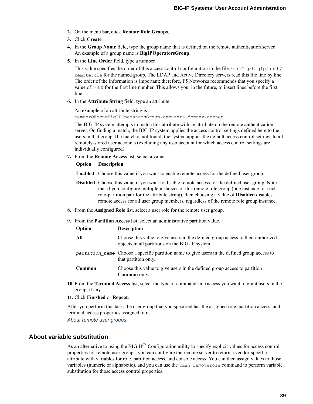- <span id="page-38-0"></span>**2.** On the menu bar, click **Remote Role Groups**.
- **3.** Click **Create**.
- **4.** In the **Group Name** field, type the group name that is defined on the remote authentication server. An example of a group name is **BigIPOperatorsGroup**.
- **5.** In the **Line Order** field, type a number.

This value specifies the order of this access control configuration in the file  $/$ config/bigip/auth/ remoterole for the named group. The LDAP and Active Directory servers read this file line by line. The order of the information is important; therefore, F5 Networks recommends that you specify a value of 1000 for the first line number. This allows you, in the future, to insert lines before the first line.

**6.** In the **Attribute String** field, type an attribute.

An example of an attribute string is

memberOF=cn=BigIPOperatorsGroup, cn=users, dc=dev, dc=net.

The BIG-IP system attempts to match this attribute with an attribute on the remote authentication server. On finding a match, the BIG-IP system applies the access control settings defined here to the users in that group. If a match is not found, the system applies the default access control settings to all remotely-stored user accounts (excluding any user account for which access control settings are individually configured).

**7.** From the **Remote Access** list, select a value.

#### **Option Description**

**Enabled** Choose this value if you want to enable remote access for the defined user group.

- **Disabled** Choose this value if you want to disable remote access for the defined user group. Note that if you configure multiple instances of this remote role group (one instance for each role-partition pair for the attribute string), then choosing a value of **Disabled** disables remote access for all user group members, regardless of the remote role group instance.
- **8.** From the **Assigned Role** list, select a user role for the remote user group.
- **9.** From the **Partition Access** list, select an administrative partition value.

| Option | <b>Description</b>                                                                                                                 |
|--------|------------------------------------------------------------------------------------------------------------------------------------|
| All    | Choose this value to give users in the defined group access to their authorized<br>objects in all partitions on the BIG-IP system. |
|        | <b>partition</b> name Choose a specific partition name to give users in the defined group access to<br>that partition only.        |
| Common | Choose this value to give users in the defined group access to partition<br><b>Common</b> only.                                    |
|        | Then the Tennitral Agazes list, solved the time of common diline agazes increment to smart cover in the                            |

- **10.**From the **Terminal Access** list, select the type of command-line access you want to grant users in the group, if any.
- **11.** Click **Finished** or **Repeat**.

After you perform this task, the user group that you specified has the assigned role, partition access, and terminal access properties assigned to it.

[About remote user groups](#page-35-0)

### **About variable substitution**

As an alternative to using the BIG-IP<sup>™</sup> Configuration utility to specify explicit values for access control properties for remote user groups, you can configure the remote server to return a vendor-specific attribute with variables for role, partition access, and console access. You can then assign values to those variables (numeric or alphabetic), and you can use the tmsh remoterole command to perform variable substitution for those access control properties.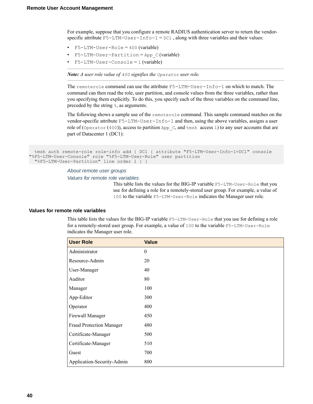<span id="page-39-0"></span>For example, suppose that you configure a remote RADIUS authentication server to return the vendorspecific attribute  $F5-LTM-User-Info-1 = DC1$ , along with three variables and their values:

- F5-LTM-User-Role = 400 (variable)
- F5-LTM-User-Partition = App\_C (variable)
- F5-LTM-User-Console = 1 (variable)

*Note: A user role value of 400 signifies the Operator user role.*

The remoterole command can use the attribute F5-LTM-User-Info-1 on which to match. The command can then read the role, user partition, and console values from the three variables, rather than you specifying them explicitly. To do this, you specify each of the three variables on the command line, preceded by the string %, as arguments.

The following shows a sample use of the remoterole command. This sample command matches on the vendor-specific attribute F5-LTM-User-Info-1 and then, using the above variables, assigns a user role of (Operator (400)), access to partition App\_C, and tmsh access 1) to any user accounts that are part of Datacenter 1 (DC1):

```
 tmsh auth remote-role role-info add { DC1 { attribute "F5-LTM-User-Info-1=DC1" console 
"%F5-LTM-User-Console" role "%F5-LTM-User-Role" user partition 
  "%F5-LTM-User-Partition" line order 1 } }
```
#### [About remote user groups](#page-35-0)

#### Values for remote role variables

This table lists the values for the BIG-IP variable F5-LTM-User-Role that you use for defining a role for a remotely-stored user group. For example, a value of 100 to the variable F5-LTM-User-Role indicates the Manager user role.

### **Values for remote role variables**

This table lists the values for the BIG-IP variable F5-LTM-User-Role that you use for defining a role for a remotely-stored user group. For example, a value of 100 to the variable F5-LTM-User-Role indicates the Manager user role.

| <b>User Role</b>           | <b>Value</b>     |
|----------------------------|------------------|
| Administrator              | $\boldsymbol{0}$ |
| Resource-Admin             | 20               |
| User-Manager               | 40               |
| Auditor                    | 80               |
| Manager                    | 100              |
| App-Editor                 | 300              |
| Operator                   | 400              |
| Firewall Manager           | 450              |
| Fraud Protection Manager   | 480              |
| Certificate-Manager        | 500              |
| Certificate-Manager        | 510              |
| Guest                      | 700              |
| Application-Security-Admin | 800              |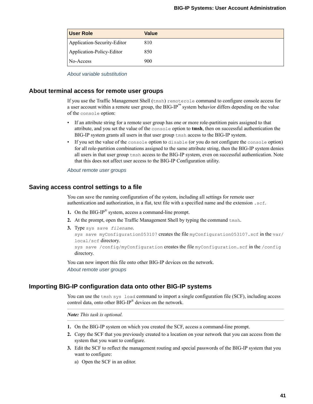<span id="page-40-0"></span>

| <b>User Role</b>            | <b>Value</b> |
|-----------------------------|--------------|
| Application-Security-Editor | 810          |
| Application-Policy-Editor   | 850          |
| No-Access                   | 900          |

[About variable substitution](#page-38-0)

### **About terminal access for remote user groups**

If you use the Traffic Management Shell (tmsh) remoterole command to configure console access for a user account within a remote user group, the BIG-IP<sup>™</sup> system behavior differs depending on the value of the console option:

- If an attribute string for a remote user group has one or more role-partition pairs assigned to that attribute, and you set the value of the console option to **tmsh**, then on successful authentication the BIG-IP system grants all users in that user group tmsh access to the BIG-IP system.
- If you set the value of the console option to disable (or you do not configure the console option) for all role-partition combinations assigned to the same attribute string, then the BIG-IP system denies all users in that user group tmsh access to the BIG-IP system, even on successful authentication. Note that this does not affect user access to the BIG-IP Configuration utility.

[About remote user groups](#page-35-0)

### **Saving access control settings to a file**

You can save the running configuration of the system, including all settings for remote user authentication and authorization, in a flat, text file with a specified name and the extension .scf.

- **1.** On the BIG-IP<sup>®</sup> system, access a command-line prompt.
- **2.** At the prompt, open the Traffic Management Shell by typing the command tmsh.
- **3.** Type sys save *filename*. sys save myConfiguration053107 creates the file myConfiguration053107.scf in the var/ local/scf directory. sys save /config/myConfiguration creates the file myConfiguration.scf in the /config directory.

You can now import this file onto other BIG-IP devices on the network. [About remote user groups](#page-35-0)

### **Importing BIG-IP configuration data onto other BIG-IP systems**

You can use the tmsh sys load command to import a single configuration file (SCF), including access control data, onto other BIG-IP<sup>®</sup> devices on the network.

*Note: This task is optional.*

- **1.** On the BIG-IP system on which you created the SCF, access a command-line prompt.
- **2.** Copy the SCF that you previously created to a location on your network that you can access from the system that you want to configure.
- **3.** Edit the SCF to reflect the management routing and special passwords of the BIG-IP system that you want to configure:
	- a) Open the SCF in an editor.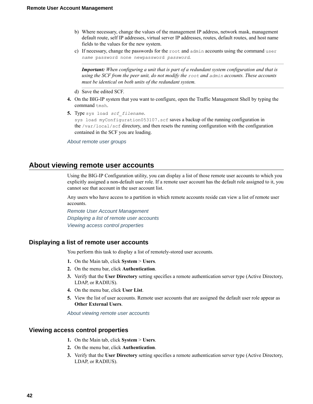- <span id="page-41-0"></span>b) Where necessary, change the values of the management IP address, network mask, management default route, self IP addresses, virtual server IP addresses, routes, default routes, and host name fields to the values for the new system.
- c) If necessary, change the passwords for the root and admin accounts using the command user *name* password none newpassword *password*.

*Important: When configuring a unit that is part of a redundant system configuration and that is using the SCF from the peer unit, do not modify the root and admin accounts. These accounts must be identical on both units of the redundant system.*

- d) Save the edited SCF.
- **4.** On the BIG-IP system that you want to configure, open the Traffic Management Shell by typing the command tmsh.
- **5.** Type sys load *scf\_filename*.

sys load myConfiguration053107.scf saves a backup of the running configuration in the /var/local/scf directory, and then resets the running configuration with the configuration contained in the SCF you are loading.

[About remote user groups](#page-35-0)

### **About viewing remote user accounts**

Using the BIG-IP Configuration utility, you can display a list of those remote user accounts to which you explicitly assigned a non-default user role. If a remote user account has the default role assigned to it, you cannot see that account in the user account list.

Any users who have access to a partition in which remote accounts reside can view a list of remote user accounts.

[Remote User Account Management](#page-28-0) Displaying a list of remote user accounts Viewing access control properties

### **Displaying a list of remote user accounts**

You perform this task to display a list of remotely-stored user accounts.

- **1.** On the Main tab, click **System** > **Users**.
- **2.** On the menu bar, click **Authentication**.
- **3.** Verify that the **User Directory** setting specifies a remote authentication server type (Active Directory, LDAP, or RADIUS).
- **4.** On the menu bar, click **User List**.
- **5.** View the list of user accounts. Remote user accounts that are assigned the default user role appear as **Other External Users**.

About viewing remote user accounts

### **Viewing access control properties**

- **1.** On the Main tab, click **System** > **Users**.
- **2.** On the menu bar, click **Authentication**.
- **3.** Verify that the **User Directory** setting specifies a remote authentication server type (Active Directory, LDAP, or RADIUS).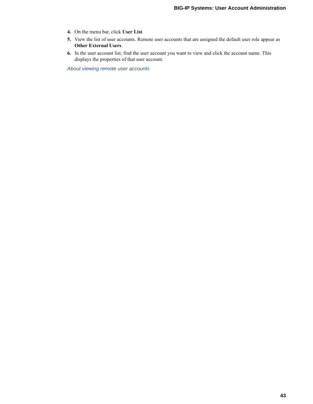- **4.** On the menu bar, click **User List**.
- **5.** View the list of user accounts. Remote user accounts that are assigned the default user role appear as **Other External Users**.
- **6.** In the user account list, find the user account you want to view and click the account name. This displays the properties of that user account.

[About viewing remote user accounts](#page-41-0)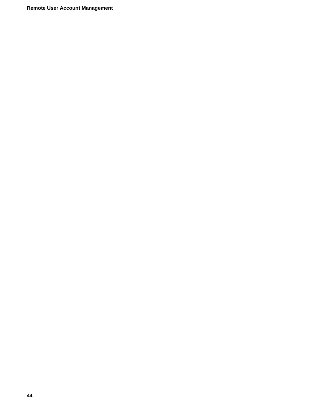**Remote User Account Management**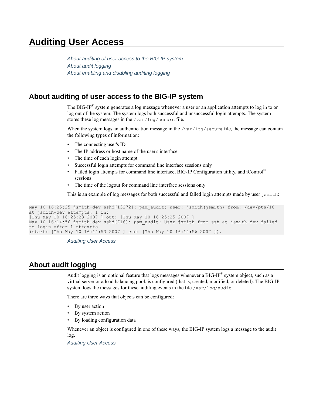## <span id="page-44-0"></span>**Auditing User Access**

About auditing of user access to the BIG-IP system About audit logging [About enabling and disabling auditing logging](#page-45-0)

### **About auditing of user access to the BIG-IP system**

The BIG-IP<sup>®</sup> system generates a log message whenever a user or an application attempts to log in to or log out of the system. The system logs both successful and unsuccessful login attempts. The system stores these log messages in the /var/log/secure file.

When the system logs an authentication message in the  $/\text{var}/\text{log}/\text{secure}$  file, the message can contain the following types of information:

- The connecting user's ID
- The IP address or host name of the user's interface
- The time of each login attempt
- Successful login attempts for command line interface sessions only
- Failed login attempts for command line interface, BIG-IP Configuration utility, and iControl<sup>®</sup> sessions
- The time of the logout for command line interface sessions only

This is an example of log messages for both successful and failed login attempts made by user jsmith:

```
May 10 16:25:25 jsmith-dev sshd[13272]: pam_audit: user: jsmith(jsmith) from: /dev/pts/10 
at jsmith-dev attempts: 1 in: 
[Thu May 10 16:25:23 2007 ] out: [Thu May 10 16:25:25 2007 ]
May 10 16:14:56 jsmith-dev sshd[716]: pam_audit: User jsmith from ssh at jsmith-dev failed 
to login after 1 attempts 
(start: [Thu May 10 16:14:53 2007 ] end: [Thu May 10 16:14:56 2007 ]).
```
Auditing User Access

### **About audit logging**

Audit logging is an optional feature that logs messages whenever a BIG-IP® system object, such as a virtual server or a load balancing pool, is configured (that is, created, modified, or deleted). The BIG-IP system logs the messages for these auditing events in the file /var/log/audit.

There are three ways that objects can be configured:

- By user action
- By system action
- By loading configuration data

Whenever an object is configured in one of these ways, the BIG-IP system logs a message to the audit log.

Auditing User Access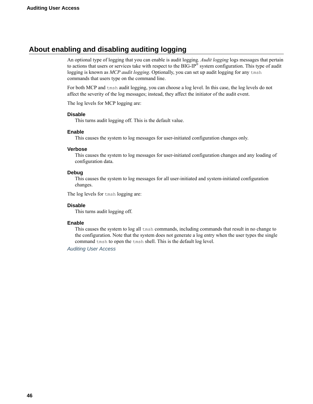### <span id="page-45-0"></span>**About enabling and disabling auditing logging**

An optional type of logging that you can enable is audit logging. *Audit logging* logs messages that pertain to actions that users or services take with respect to the BIG-IP® system configuration. This type of audit logging is known as *MCP audit logging*. Optionally, you can set up audit logging for any tmsh commands that users type on the command line.

For both MCP and tmsh audit logging, you can choose a log level. In this case, the log levels do not affect the severity of the log messages; instead, they affect the initiator of the audit event.

The log levels for MCP logging are:

#### **Disable**

This turns audit logging off. This is the default value.

#### **Enable**

This causes the system to log messages for user-initiated configuration changes only.

#### **Verbose**

This causes the system to log messages for user-initiated configuration changes and any loading of configuration data.

#### **Debug**

This causes the system to log messages for all user-initiated and system-initiated configuration changes.

The log levels for tmsh logging are:

#### **Disable**

This turns audit logging off.

#### **Enable**

This causes the system to log all tmsh commands, including commands that result in no change to the configuration. Note that the system does not generate a log entry when the user types the single command tmsh to open the tmsh shell. This is the default log level.

[Auditing User Access](#page-44-0)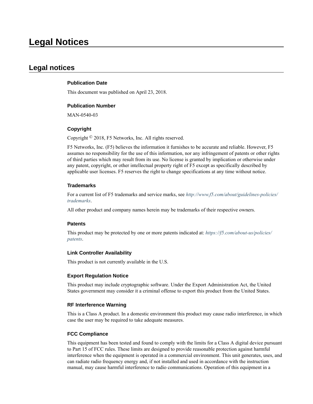## <span id="page-46-0"></span>**Legal Notices**

### **Legal notices**

#### **Publication Date**

This document was published on April 23, 2018.

#### **Publication Number**

MAN-0540-03

#### **Copyright**

Copyright © 2018, F5 Networks, Inc. All rights reserved.

F5 Networks, Inc. (F5) believes the information it furnishes to be accurate and reliable. However, F5 assumes no responsibility for the use of this information, nor any infringement of patents or other rights of third parties which may result from its use. No license is granted by implication or otherwise under any patent, copyright, or other intellectual property right of F5 except as specifically described by applicable user licenses. F5 reserves the right to change specifications at any time without notice.

#### **Trademarks**

For a current list of F5 trademarks and service marks, see *[http://www.f5.com/about/guidelines-policies/](http://www.f5.com/about/guidelines-policies/trademarks/) [trademarks](http://www.f5.com/about/guidelines-policies/trademarks/)*.

All other product and company names herein may be trademarks of their respective owners.

### **Patents**

This product may be protected by one or more patents indicated at: *[https://f5.com/about-us/policies/](https://f5.com/about-us/policies/patents) [patents](https://f5.com/about-us/policies/patents)*.

#### **Link Controller Availability**

This product is not currently available in the U.S.

#### **Export Regulation Notice**

This product may include cryptographic software. Under the Export Administration Act, the United States government may consider it a criminal offense to export this product from the United States.

#### **RF Interference Warning**

This is a Class A product. In a domestic environment this product may cause radio interference, in which case the user may be required to take adequate measures.

#### **FCC Compliance**

This equipment has been tested and found to comply with the limits for a Class A digital device pursuant to Part 15 of FCC rules. These limits are designed to provide reasonable protection against harmful interference when the equipment is operated in a commercial environment. This unit generates, uses, and can radiate radio frequency energy and, if not installed and used in accordance with the instruction manual, may cause harmful interference to radio communications. Operation of this equipment in a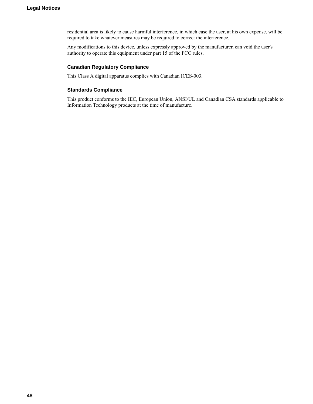residential area is likely to cause harmful interference, in which case the user, at his own expense, will be required to take whatever measures may be required to correct the interference.

Any modifications to this device, unless expressly approved by the manufacturer, can void the user's authority to operate this equipment under part 15 of the FCC rules.

### **Canadian Regulatory Compliance**

This Class A digital apparatus complies with Canadian ICES-003.

### **Standards Compliance**

This product conforms to the IEC, European Union, ANSI/UL and Canadian CSA standards applicable to Information Technology products at the time of manufacture.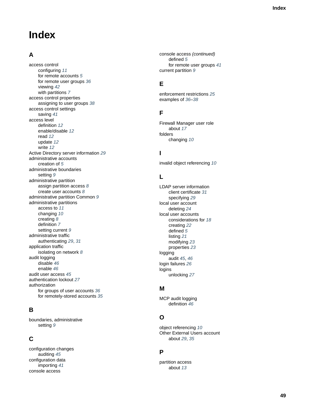## <span id="page-48-0"></span>**Index**

### **A**

access control configuring [11](#page-10-0) for remote accounts [5](#page-4-0) for remote user groups [36](#page-35-0) viewing [42](#page-41-0) with partitions [7](#page-6-0) access control properties assigning to user groups [38](#page-37-0) access control settings saving [41](#page-40-0) access level definition [12](#page-11-0) enable/disable [12](#page-11-0) read [12](#page-11-0) update [12](#page-11-0) write [12](#page-11-0) Active Directory server information [29](#page-28-0) administrative accounts creation of [5](#page-4-0) administrative boundaries setting [9](#page-8-0) administrative partition assign partition access [8](#page-7-0) create user accounts [8](#page-7-0) administrative partition Common [9](#page-8-0) administrative partitions access to [11](#page-10-0) changing [10](#page-9-0) creating [8](#page-7-0) definition [7](#page-6-0) setting current [9](#page-8-0) administrative traffic authenticating [29](#page-28-0), [31](#page-30-0) application traffic isolating on network [8](#page-7-0) audit logging disable [46](#page-45-0) enable [46](#page-45-0) audit user access [45](#page-44-0) authentication lockout [27](#page-26-0) authorization for groups of user accounts [36](#page-35-0) for remotely-stored accounts [35](#page-34-0)

### **B**

boundaries, administrative setting [9](#page-8-0)

### **C**

configuration changes auditing [45](#page-44-0) configuration data importing [41](#page-40-0) console access

console access (continued) defined [5](#page-4-0) for remote user groups [41](#page-40-0) current partition [9](#page-8-0)

### **E**

enforcement restrictions [25](#page-24-0) examples of [36](#page-35-0)–[38](#page-37-0)

### **F**

Firewall Manager user role about [17](#page-16-0) folders changing [10](#page-9-0)

### **I**

invalid object referencing [10](#page-9-0)

### **L**

LDAP server information client certificate [31](#page-30-0) specifying [29](#page-28-0) local user account deleting [24](#page-23-0) local user accounts considerations for [18](#page-17-0) creating [22](#page-21-0) defined [5](#page-4-0) listing [21](#page-20-0) modifying [23](#page-22-0) properties [23](#page-22-0) logging audit [45](#page-44-0), [46](#page-45-0) login failures [26](#page-25-0) logins unlocking [27](#page-26-0)

### **M**

MCP audit logging definition [46](#page-45-0)

### **O**

object referencing [10](#page-9-0) Other External Users account about [29](#page-28-0), [35](#page-34-0)

### **P**

partition access about [13](#page-12-0)